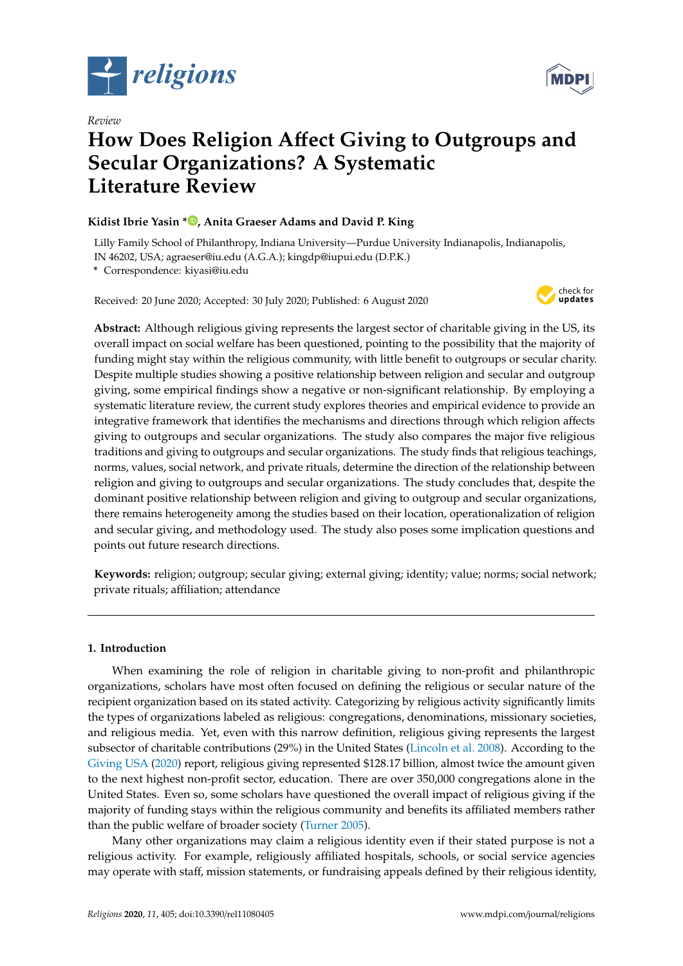

*Review*

# **How Does Religion A**ff**ect Giving to Outgroups and Secular Organizations? A Systematic Literature Review**

### **Kidist Ibrie Yasin \* [,](https://orcid.org/0000-0002-5682-3079) Anita Graeser Adams and David P. King**

Lilly Family School of Philanthropy, Indiana University—Purdue University Indianapolis, Indianapolis, IN 46202, USA; agraeser@iu.edu (A.G.A.); kingdp@iupui.edu (D.P.K.)

**\*** Correspondence: kiyasi@iu.edu

Received: 20 June 2020; Accepted: 30 July 2020; Published: 6 August 2020



**Abstract:** Although religious giving represents the largest sector of charitable giving in the US, its overall impact on social welfare has been questioned, pointing to the possibility that the majority of funding might stay within the religious community, with little benefit to outgroups or secular charity. Despite multiple studies showing a positive relationship between religion and secular and outgroup giving, some empirical findings show a negative or non-significant relationship. By employing a systematic literature review, the current study explores theories and empirical evidence to provide an integrative framework that identifies the mechanisms and directions through which religion affects giving to outgroups and secular organizations. The study also compares the major five religious traditions and giving to outgroups and secular organizations. The study finds that religious teachings, norms, values, social network, and private rituals, determine the direction of the relationship between religion and giving to outgroups and secular organizations. The study concludes that, despite the dominant positive relationship between religion and giving to outgroup and secular organizations, there remains heterogeneity among the studies based on their location, operationalization of religion and secular giving, and methodology used. The study also poses some implication questions and points out future research directions.

**Keywords:** religion; outgroup; secular giving; external giving; identity; value; norms; social network; private rituals; affiliation; attendance

#### **1. Introduction**

When examining the role of religion in charitable giving to non-profit and philanthropic organizations, scholars have most often focused on defining the religious or secular nature of the recipient organization based on its stated activity. Categorizing by religious activity significantly limits the types of organizations labeled as religious: congregations, denominations, missionary societies, and religious media. Yet, even with this narrow definition, religious giving represents the largest subsector of charitable contributions (29%) in the United States [\(Lincoln et al.](#page-19-0) [2008\)](#page-19-0). According to the [Giving USA](#page-19-1) [\(2020\)](#page-19-1) report, religious giving represented \$128.17 billion, almost twice the amount given to the next highest non-profit sector, education. There are over 350,000 congregations alone in the United States. Even so, some scholars have questioned the overall impact of religious giving if the majority of funding stays within the religious community and benefits its affiliated members rather than the public welfare of broader society [\(Turner](#page-21-0) [2005\)](#page-21-0).

Many other organizations may claim a religious identity even if their stated purpose is not a religious activity. For example, religiously affiliated hospitals, schools, or social service agencies may operate with staff, mission statements, or fundraising appeals defined by their religious identity,

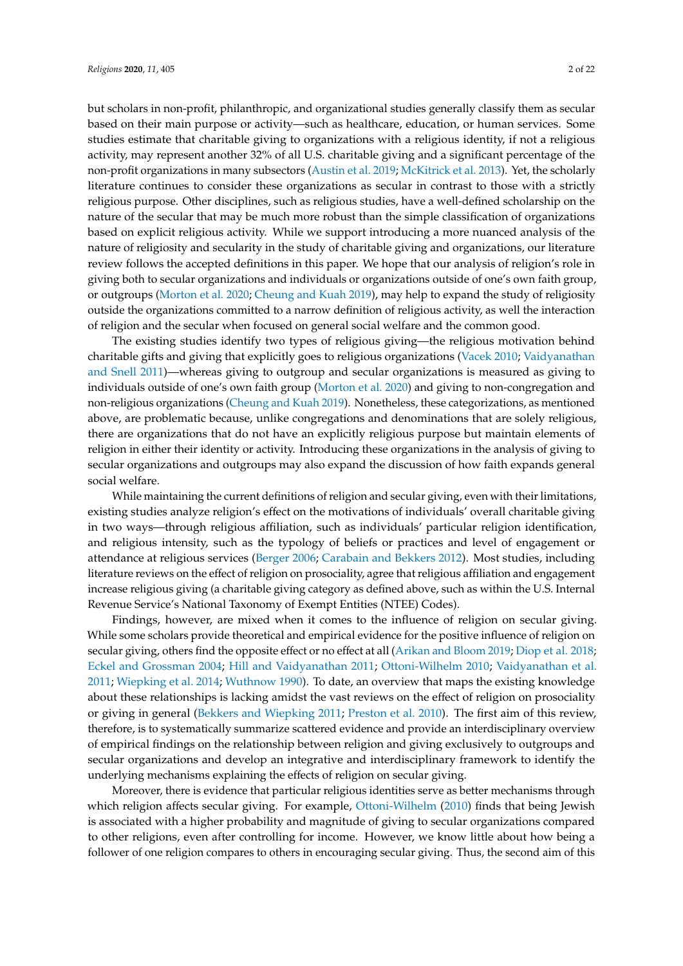but scholars in non-profit, philanthropic, and organizational studies generally classify them as secular based on their main purpose or activity—such as healthcare, education, or human services. Some studies estimate that charitable giving to organizations with a religious identity, if not a religious activity, may represent another 32% of all U.S. charitable giving and a significant percentage of the non-profit organizations in many subsectors [\(Austin et al.](#page-18-0) [2019;](#page-18-0) [McKitrick et al.](#page-20-0) [2013\)](#page-20-0). Yet, the scholarly literature continues to consider these organizations as secular in contrast to those with a strictly religious purpose. Other disciplines, such as religious studies, have a well-defined scholarship on the nature of the secular that may be much more robust than the simple classification of organizations based on explicit religious activity. While we support introducing a more nuanced analysis of the nature of religiosity and secularity in the study of charitable giving and organizations, our literature review follows the accepted definitions in this paper. We hope that our analysis of religion's role in giving both to secular organizations and individuals or organizations outside of one's own faith group, or outgroups [\(Morton et al.](#page-20-1) [2020;](#page-20-1) [Cheung and Kuah](#page-19-2) [2019\)](#page-19-2), may help to expand the study of religiosity outside the organizations committed to a narrow definition of religious activity, as well the interaction of religion and the secular when focused on general social welfare and the common good.

The existing studies identify two types of religious giving—the religious motivation behind charitable gifts and giving that explicitly goes to religious organizations [\(Vacek](#page-21-1) [2010;](#page-21-1) [Vaidyanathan](#page-21-2) [and Snell](#page-21-2) [2011\)](#page-21-2)—whereas giving to outgroup and secular organizations is measured as giving to individuals outside of one's own faith group [\(Morton et al.](#page-20-1) [2020\)](#page-20-1) and giving to non-congregation and non-religious organizations [\(Cheung and Kuah](#page-19-2) [2019\)](#page-19-2). Nonetheless, these categorizations, as mentioned above, are problematic because, unlike congregations and denominations that are solely religious, there are organizations that do not have an explicitly religious purpose but maintain elements of religion in either their identity or activity. Introducing these organizations in the analysis of giving to secular organizations and outgroups may also expand the discussion of how faith expands general social welfare.

While maintaining the current definitions of religion and secular giving, even with their limitations, existing studies analyze religion's effect on the motivations of individuals' overall charitable giving in two ways—through religious affiliation, such as individuals' particular religion identification, and religious intensity, such as the typology of beliefs or practices and level of engagement or attendance at religious services [\(Berger](#page-18-1) [2006;](#page-18-1) [Carabain and Bekkers](#page-19-3) [2012\)](#page-19-3). Most studies, including literature reviews on the effect of religion on prosociality, agree that religious affiliation and engagement increase religious giving (a charitable giving category as defined above, such as within the U.S. Internal Revenue Service's National Taxonomy of Exempt Entities (NTEE) Codes).

Findings, however, are mixed when it comes to the influence of religion on secular giving. While some scholars provide theoretical and empirical evidence for the positive influence of religion on secular giving, others find the opposite effect or no effect at all [\(Arikan and Bloom](#page-18-2) [2019;](#page-18-2) [Diop et al.](#page-19-4) [2018;](#page-19-4) [Eckel and Grossman](#page-19-5) [2004;](#page-19-5) [Hill and Vaidyanathan](#page-19-6) [2011;](#page-19-6) [Ottoni-Wilhelm](#page-20-2) [2010;](#page-20-2) [Vaidyanathan et al.](#page-21-3) [2011;](#page-21-3) [Wiepking et al.](#page-21-4) [2014;](#page-21-4) [Wuthnow](#page-21-5) [1990\)](#page-21-5). To date, an overview that maps the existing knowledge about these relationships is lacking amidst the vast reviews on the effect of religion on prosociality or giving in general [\(Bekkers and Wiepking](#page-18-3) [2011;](#page-18-3) [Preston et al.](#page-20-3) [2010\)](#page-20-3). The first aim of this review, therefore, is to systematically summarize scattered evidence and provide an interdisciplinary overview of empirical findings on the relationship between religion and giving exclusively to outgroups and secular organizations and develop an integrative and interdisciplinary framework to identify the underlying mechanisms explaining the effects of religion on secular giving.

Moreover, there is evidence that particular religious identities serve as better mechanisms through which religion affects secular giving. For example, [Ottoni-Wilhelm](#page-20-2) [\(2010\)](#page-20-2) finds that being Jewish is associated with a higher probability and magnitude of giving to secular organizations compared to other religions, even after controlling for income. However, we know little about how being a follower of one religion compares to others in encouraging secular giving. Thus, the second aim of this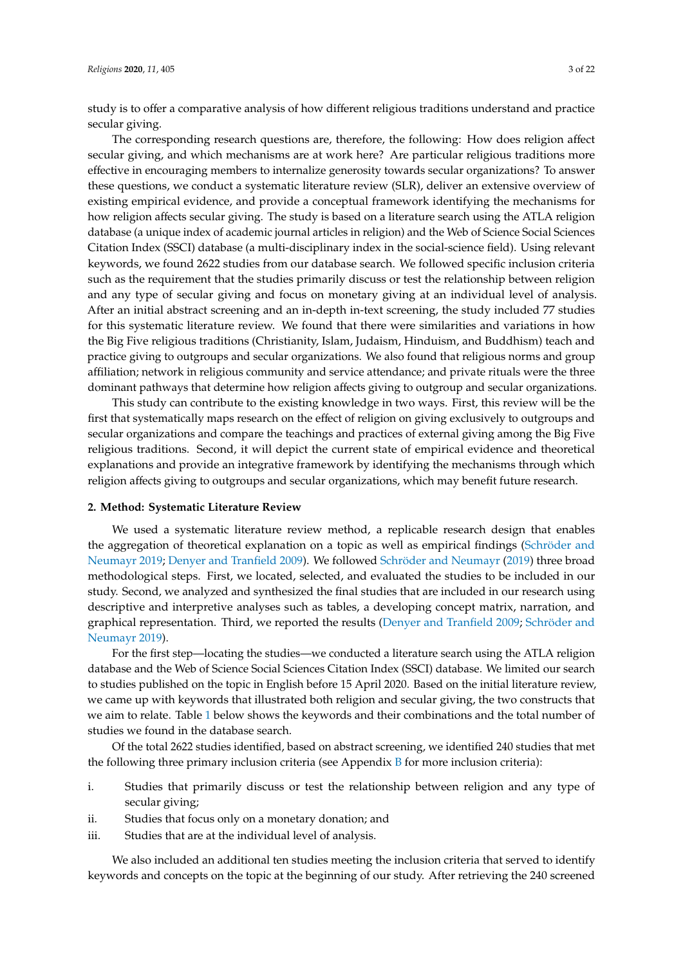study is to offer a comparative analysis of how different religious traditions understand and practice secular giving.

The corresponding research questions are, therefore, the following: How does religion affect secular giving, and which mechanisms are at work here? Are particular religious traditions more effective in encouraging members to internalize generosity towards secular organizations? To answer these questions, we conduct a systematic literature review (SLR), deliver an extensive overview of existing empirical evidence, and provide a conceptual framework identifying the mechanisms for how religion affects secular giving. The study is based on a literature search using the ATLA religion database (a unique index of academic journal articles in religion) and the Web of Science Social Sciences Citation Index (SSCI) database (a multi-disciplinary index in the social-science field). Using relevant keywords, we found 2622 studies from our database search. We followed specific inclusion criteria such as the requirement that the studies primarily discuss or test the relationship between religion and any type of secular giving and focus on monetary giving at an individual level of analysis. After an initial abstract screening and an in-depth in-text screening, the study included 77 studies for this systematic literature review. We found that there were similarities and variations in how the Big Five religious traditions (Christianity, Islam, Judaism, Hinduism, and Buddhism) teach and practice giving to outgroups and secular organizations. We also found that religious norms and group affiliation; network in religious community and service attendance; and private rituals were the three dominant pathways that determine how religion affects giving to outgroup and secular organizations.

This study can contribute to the existing knowledge in two ways. First, this review will be the first that systematically maps research on the effect of religion on giving exclusively to outgroups and secular organizations and compare the teachings and practices of external giving among the Big Five religious traditions. Second, it will depict the current state of empirical evidence and theoretical explanations and provide an integrative framework by identifying the mechanisms through which religion affects giving to outgroups and secular organizations, which may benefit future research.

#### **2. Method: Systematic Literature Review**

We used a systematic literature review method, a replicable research design that enables the aggregation of theoretical explanation on a topic as well as empirical findings [\(Schröder and](#page-20-4) [Neumayr](#page-20-4) [2019;](#page-20-4) [Denyer and Tranfield](#page-19-7) [2009\)](#page-19-7). We followed [Schröder and Neumayr](#page-20-4) [\(2019\)](#page-20-4) three broad methodological steps. First, we located, selected, and evaluated the studies to be included in our study. Second, we analyzed and synthesized the final studies that are included in our research using descriptive and interpretive analyses such as tables, a developing concept matrix, narration, and graphical representation. Third, we reported the results [\(Denyer and Tranfield](#page-19-7) [2009;](#page-19-7) [Schröder and](#page-20-4) [Neumayr](#page-20-4) [2019\)](#page-20-4).

For the first step—locating the studies—we conducted a literature search using the ATLA religion database and the Web of Science Social Sciences Citation Index (SSCI) database. We limited our search to studies published on the topic in English before 15 April 2020. Based on the initial literature review, we came up with keywords that illustrated both religion and secular giving, the two constructs that we aim to relate. Table [1](#page-3-0) below shows the keywords and their combinations and the total number of studies we found in the database search.

Of the total 2622 studies identified, based on abstract screening, we identified 240 studies that met the following three primary inclusion criteria (see Appendix [B](#page-18-4) for more inclusion criteria):

- i. Studies that primarily discuss or test the relationship between religion and any type of secular giving;
- ii. Studies that focus only on a monetary donation; and
- iii. Studies that are at the individual level of analysis.

We also included an additional ten studies meeting the inclusion criteria that served to identify keywords and concepts on the topic at the beginning of our study. After retrieving the 240 screened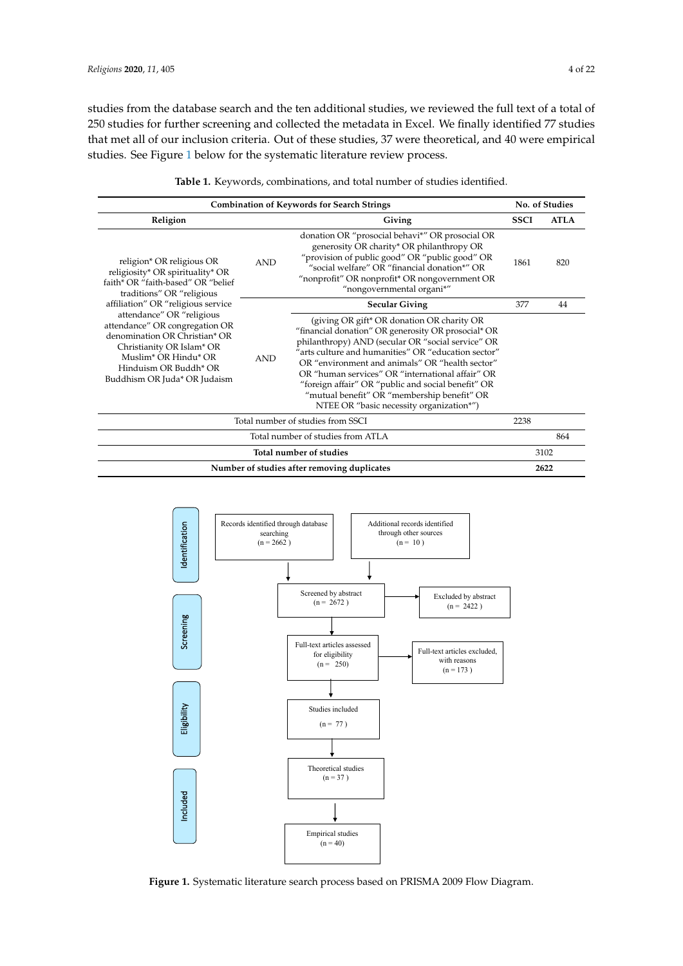studies from the database search and the ten additional studies, we reviewed the full text of a total of 250 studies for further screening and collected the metadata in Excel. We finally identified 77 studies that met all of our inclusion criteria. Out of these studies, 37 were theoretical, and 40 were empirical studies. See Figure [1](#page-3-1) below for the systematic literature review process.

<span id="page-3-0"></span>

| <b>Combination of Keywords for Search Strings</b>                                                                                                                                                                                                                                                                                                                                    | No. of Studies                                                                                                                                                                                                                                                                             |                                                                                                                                                                                                                                                                                                                                                                                                                                                                       |             |             |
|--------------------------------------------------------------------------------------------------------------------------------------------------------------------------------------------------------------------------------------------------------------------------------------------------------------------------------------------------------------------------------------|--------------------------------------------------------------------------------------------------------------------------------------------------------------------------------------------------------------------------------------------------------------------------------------------|-----------------------------------------------------------------------------------------------------------------------------------------------------------------------------------------------------------------------------------------------------------------------------------------------------------------------------------------------------------------------------------------------------------------------------------------------------------------------|-------------|-------------|
| Religion                                                                                                                                                                                                                                                                                                                                                                             |                                                                                                                                                                                                                                                                                            | Giving                                                                                                                                                                                                                                                                                                                                                                                                                                                                | <b>SSCI</b> | <b>ATLA</b> |
| religion* OR religious OR<br>religiosity* OR spirituality* OR<br>faith* OR "faith-based" OR "belief<br>traditions" OR "religious<br>affiliation" OR "religious service<br>attendance" OR "religious<br>attendance" OR congregation OR<br>denomination OR Christian* OR<br>Christianity OR Islam* OR<br>Muslim* OR Hindu* OR<br>Hinduism OR Buddh* OR<br>Buddhism OR Juda* OR Judaism | donation OR "prosocial behavi*" OR prosocial OR<br>generosity OR charity* OR philanthropy OR<br>"provision of public good" OR "public good" OR<br><b>AND</b><br>"social welfare" OR "financial donation*" OR<br>"nonprofit" OR nonprofit* OR nongovernment OR<br>"nongovernmental organi*" |                                                                                                                                                                                                                                                                                                                                                                                                                                                                       | 1861        | 820         |
|                                                                                                                                                                                                                                                                                                                                                                                      |                                                                                                                                                                                                                                                                                            | <b>Secular Giving</b>                                                                                                                                                                                                                                                                                                                                                                                                                                                 | 377         | 44          |
|                                                                                                                                                                                                                                                                                                                                                                                      | <b>AND</b>                                                                                                                                                                                                                                                                                 | (giving OR gift* OR donation OR charity OR<br>"financial donation" OR generosity OR prosocial* OR<br>philanthropy) AND (secular OR "social service" OR<br>"arts culture and humanities" OR "education sector"<br>OR "environment and animals" OR "health sector"<br>OR "human services" OR "international affair" OR<br>"foreign affair" OR "public and social benefit" OR<br>"mutual benefit" OR "membership benefit" OR<br>NTEE OR "basic necessity organization*") |             |             |
| Total number of studies from SSCI                                                                                                                                                                                                                                                                                                                                                    | 2238                                                                                                                                                                                                                                                                                       |                                                                                                                                                                                                                                                                                                                                                                                                                                                                       |             |             |
|                                                                                                                                                                                                                                                                                                                                                                                      |                                                                                                                                                                                                                                                                                            | 864                                                                                                                                                                                                                                                                                                                                                                                                                                                                   |             |             |
|                                                                                                                                                                                                                                                                                                                                                                                      |                                                                                                                                                                                                                                                                                            | Total number of studies                                                                                                                                                                                                                                                                                                                                                                                                                                               |             | 3102        |
|                                                                                                                                                                                                                                                                                                                                                                                      |                                                                                                                                                                                                                                                                                            | Number of studies after removing duplicates                                                                                                                                                                                                                                                                                                                                                                                                                           |             | 2622        |

**Table 1.** Keywords, combinations, and total number of studies identified.

<span id="page-3-1"></span>

**Figure 1.** Systematic literature search process based on PRISMA 2009 Flow Diagram. **Figure 1.** Systematic literature search process based on PRISMA 2009 Flow Diagram.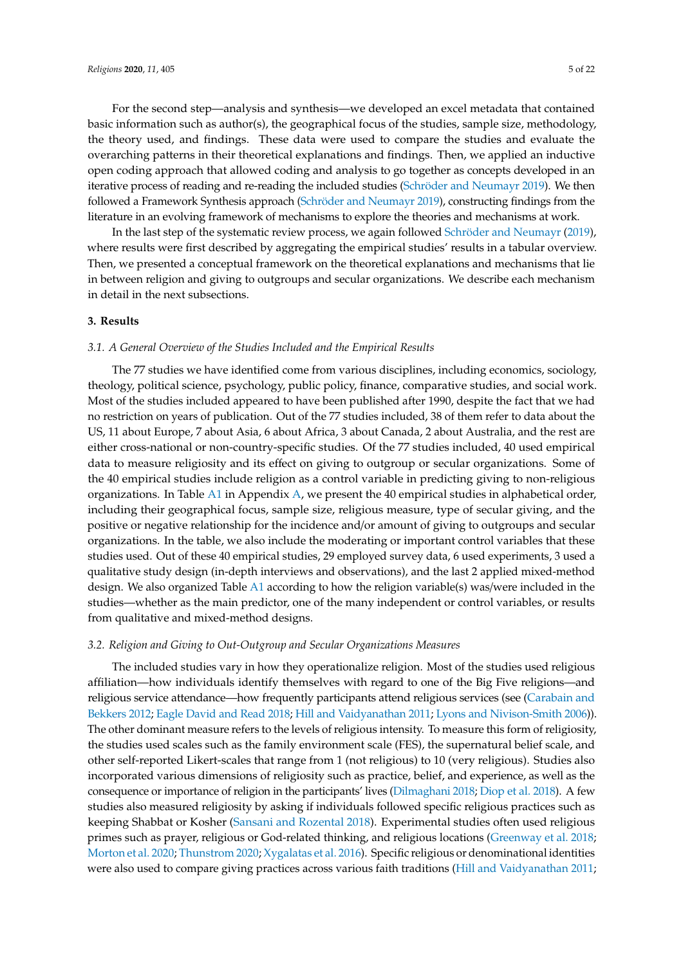For the second step—analysis and synthesis—we developed an excel metadata that contained basic information such as author(s), the geographical focus of the studies, sample size, methodology, the theory used, and findings. These data were used to compare the studies and evaluate the overarching patterns in their theoretical explanations and findings. Then, we applied an inductive open coding approach that allowed coding and analysis to go together as concepts developed in an iterative process of reading and re-reading the included studies [\(Schröder and Neumayr](#page-20-4) [2019\)](#page-20-4). We then followed a Framework Synthesis approach [\(Schröder and Neumayr](#page-20-4) [2019\)](#page-20-4), constructing findings from the literature in an evolving framework of mechanisms to explore the theories and mechanisms at work.

In the last step of the systematic review process, we again followed [Schröder and Neumayr](#page-20-4) [\(2019\)](#page-20-4), where results were first described by aggregating the empirical studies' results in a tabular overview. Then, we presented a conceptual framework on the theoretical explanations and mechanisms that lie in between religion and giving to outgroups and secular organizations. We describe each mechanism in detail in the next subsections.

#### **3. Results**

#### *3.1. A General Overview of the Studies Included and the Empirical Results*

The 77 studies we have identified come from various disciplines, including economics, sociology, theology, political science, psychology, public policy, finance, comparative studies, and social work. Most of the studies included appeared to have been published after 1990, despite the fact that we had no restriction on years of publication. Out of the 77 studies included, 38 of them refer to data about the US, 11 about Europe, 7 about Asia, 6 about Africa, 3 about Canada, 2 about Australia, and the rest are either cross-national or non-country-specific studies. Of the 77 studies included, 40 used empirical data to measure religiosity and its effect on giving to outgroup or secular organizations. Some of the 40 empirical studies include religion as a control variable in predicting giving to non-religious organizations. In Table [A1](#page-17-0) in Appendix [A,](#page-12-0) we present the 40 empirical studies in alphabetical order, including their geographical focus, sample size, religious measure, type of secular giving, and the positive or negative relationship for the incidence and/or amount of giving to outgroups and secular organizations. In the table, we also include the moderating or important control variables that these studies used. Out of these 40 empirical studies, 29 employed survey data, 6 used experiments, 3 used a qualitative study design (in-depth interviews and observations), and the last 2 applied mixed-method design. We also organized Table [A1](#page-17-0) according to how the religion variable(s) was/were included in the studies—whether as the main predictor, one of the many independent or control variables, or results from qualitative and mixed-method designs.

#### *3.2. Religion and Giving to Out-Outgroup and Secular Organizations Measures*

The included studies vary in how they operationalize religion. Most of the studies used religious affiliation—how individuals identify themselves with regard to one of the Big Five religions—and religious service attendance—how frequently participants attend religious services (see [\(Carabain and](#page-19-3) [Bekkers](#page-19-3) [2012;](#page-19-3) [Eagle David and Read](#page-19-8) [2018;](#page-19-8) [Hill and Vaidyanathan](#page-19-6) [2011;](#page-19-6) [Lyons and Nivison-Smith](#page-19-9) [2006\)](#page-19-9)). The other dominant measure refers to the levels of religious intensity. To measure this form of religiosity, the studies used scales such as the family environment scale (FES), the supernatural belief scale, and other self-reported Likert-scales that range from 1 (not religious) to 10 (very religious). Studies also incorporated various dimensions of religiosity such as practice, belief, and experience, as well as the consequence or importance of religion in the participants' lives [\(Dilmaghani](#page-19-10) [2018;](#page-19-10) [Diop et al.](#page-19-4) [2018\)](#page-19-4). A few studies also measured religiosity by asking if individuals followed specific religious practices such as keeping Shabbat or Kosher [\(Sansani and Rozental](#page-20-5) [2018\)](#page-20-5). Experimental studies often used religious primes such as prayer, religious or God-related thinking, and religious locations [\(Greenway et al.](#page-19-11) [2018;](#page-19-11) [Morton et al.](#page-20-1) [2020;](#page-20-1) [Thunstrom](#page-21-6) [2020;](#page-21-6) [Xygalatas et al.](#page-21-7) [2016\)](#page-21-7). Specific religious or denominational identities were also used to compare giving practices across various faith traditions [\(Hill and Vaidyanathan](#page-19-6) [2011;](#page-19-6)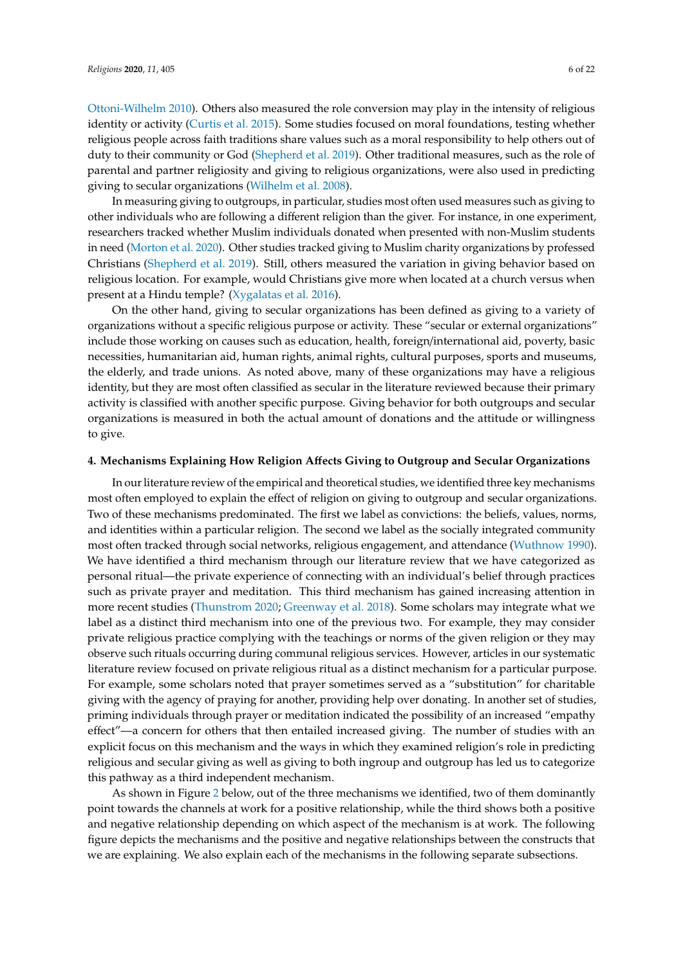[Ottoni-Wilhelm](#page-20-2) [2010\)](#page-20-2). Others also measured the role conversion may play in the intensity of religious identity or activity [\(Curtis et al.](#page-19-12) [2015\)](#page-19-12). Some studies focused on moral foundations, testing whether religious people across faith traditions share values such as a moral responsibility to help others out of duty to their community or God [\(Shepherd et al.](#page-21-8) [2019\)](#page-21-8). Other traditional measures, such as the role of parental and partner religiosity and giving to religious organizations, were also used in predicting giving to secular organizations [\(Wilhelm et al.](#page-21-9) [2008\)](#page-21-9).

In measuring giving to outgroups, in particular, studies most often used measures such as giving to other individuals who are following a different religion than the giver. For instance, in one experiment, researchers tracked whether Muslim individuals donated when presented with non-Muslim students in need [\(Morton et al.](#page-20-1) [2020\)](#page-20-1). Other studies tracked giving to Muslim charity organizations by professed Christians [\(Shepherd et al.](#page-21-8) [2019\)](#page-21-8). Still, others measured the variation in giving behavior based on religious location. For example, would Christians give more when located at a church versus when present at a Hindu temple? [\(Xygalatas et al.](#page-21-7) [2016\)](#page-21-7).

On the other hand, giving to secular organizations has been defined as giving to a variety of organizations without a specific religious purpose or activity. These "secular or external organizations" include those working on causes such as education, health, foreign/international aid, poverty, basic necessities, humanitarian aid, human rights, animal rights, cultural purposes, sports and museums, the elderly, and trade unions. As noted above, many of these organizations may have a religious identity, but they are most often classified as secular in the literature reviewed because their primary activity is classified with another specific purpose. Giving behavior for both outgroups and secular organizations is measured in both the actual amount of donations and the attitude or willingness to give.

#### **4. Mechanisms Explaining How Religion A**ff**ects Giving to Outgroup and Secular Organizations**

In our literature review of the empirical and theoretical studies, we identified three key mechanisms most often employed to explain the effect of religion on giving to outgroup and secular organizations. Two of these mechanisms predominated. The first we label as convictions: the beliefs, values, norms, and identities within a particular religion. The second we label as the socially integrated community most often tracked through social networks, religious engagement, and attendance [\(Wuthnow](#page-21-5) [1990\)](#page-21-5). We have identified a third mechanism through our literature review that we have categorized as personal ritual—the private experience of connecting with an individual's belief through practices such as private prayer and meditation. This third mechanism has gained increasing attention in more recent studies [\(Thunstrom](#page-21-6) [2020;](#page-21-6) [Greenway et al.](#page-19-11) [2018\)](#page-19-11). Some scholars may integrate what we label as a distinct third mechanism into one of the previous two. For example, they may consider private religious practice complying with the teachings or norms of the given religion or they may observe such rituals occurring during communal religious services. However, articles in our systematic literature review focused on private religious ritual as a distinct mechanism for a particular purpose. For example, some scholars noted that prayer sometimes served as a "substitution" for charitable giving with the agency of praying for another, providing help over donating. In another set of studies, priming individuals through prayer or meditation indicated the possibility of an increased "empathy effect"—a concern for others that then entailed increased giving. The number of studies with an explicit focus on this mechanism and the ways in which they examined religion's role in predicting religious and secular giving as well as giving to both ingroup and outgroup has led us to categorize this pathway as a third independent mechanism.

As shown in Figure [2](#page-6-0) below, out of the three mechanisms we identified, two of them dominantly point towards the channels at work for a positive relationship, while the third shows both a positive and negative relationship depending on which aspect of the mechanism is at work. The following figure depicts the mechanisms and the positive and negative relationships between the constructs that we are explaining. We also explain each of the mechanisms in the following separate subsections.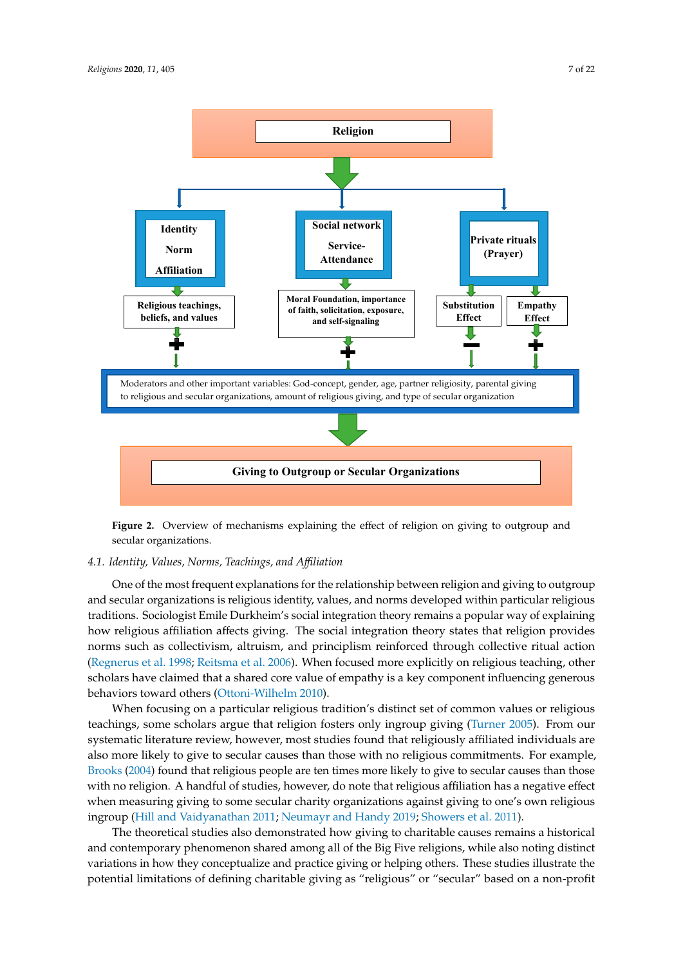<span id="page-6-0"></span>

**Figure 2.** Overview of mechanisms explaining the effect of religion on giving to outgroup and secular organizations.

#### *4.1. Identity, Values, Norms, Teachings, and A*ffi*liation*

One of the most frequent explanations for the relationship between religion and giving to outgroup and secular organizations is religious identity, values, and norms developed within particular religious traditions. Sociologist Emile Durkheim's social integration theory remains a popular way of explaining how religious affiliation affects giving. The social integration theory states that religion provides norms such as collectivism, altruism, and principlism reinforced through collective ritual action [\(Regnerus et al.](#page-20-6) [1998;](#page-20-6) [Reitsma et al.](#page-20-7) [2006\)](#page-20-7). When focused more explicitly on religious teaching, other scholars have claimed that a shared core value of empathy is a key component influencing generous behaviors toward others [\(Ottoni-Wilhelm](#page-20-2) [2010\)](#page-20-2).

When focusing on a particular religious tradition's distinct set of common values or religious teachings, some scholars argue that religion fosters only ingroup giving [\(Turner](#page-21-0) [2005\)](#page-21-0). From our systematic literature review, however, most studies found that religiously affiliated individuals are also more likely to give to secular causes than those with no religious commitments. For example, [Brooks](#page-19-13) [\(2004\)](#page-19-13) found that religious people are ten times more likely to give to secular causes than those with no religion. A handful of studies, however, do note that religious affiliation has a negative effect when measuring giving to some secular charity organizations against giving to one's own religious ingroup [\(Hill and Vaidyanathan](#page-19-6) [2011;](#page-19-6) [Neumayr and Handy](#page-20-8) [2019;](#page-20-8) [Showers et al.](#page-21-10) [2011\)](#page-21-10).

The theoretical studies also demonstrated how giving to charitable causes remains a historical and contemporary phenomenon shared among all of the Big Five religions, while also noting distinct variations in how they conceptualize and practice giving or helping others. These studies illustrate the potential limitations of defining charitable giving as "religious" or "secular" based on a non-profit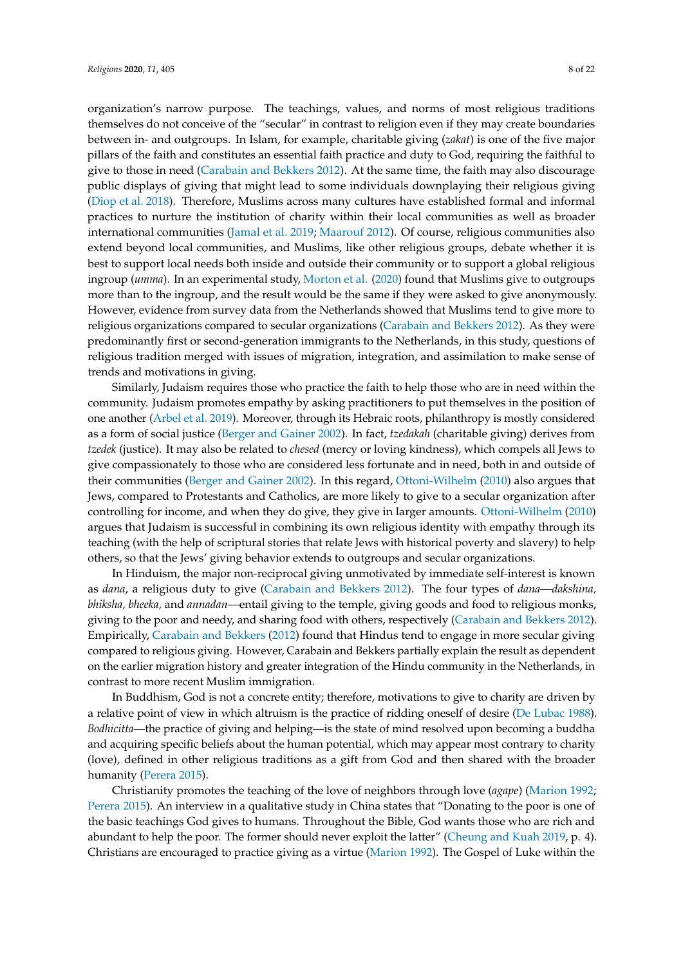organization's narrow purpose. The teachings, values, and norms of most religious traditions themselves do not conceive of the "secular" in contrast to religion even if they may create boundaries between in- and outgroups. In Islam, for example, charitable giving (*zakat*) is one of the five major pillars of the faith and constitutes an essential faith practice and duty to God, requiring the faithful to give to those in need [\(Carabain and Bekkers](#page-19-3) [2012\)](#page-19-3). At the same time, the faith may also discourage public displays of giving that might lead to some individuals downplaying their religious giving [\(Diop et al.](#page-19-4) [2018\)](#page-19-4). Therefore, Muslims across many cultures have established formal and informal practices to nurture the institution of charity within their local communities as well as broader international communities [\(Jamal et al.](#page-19-14) [2019;](#page-19-14) [Maarouf](#page-20-9) [2012\)](#page-20-9). Of course, religious communities also extend beyond local communities, and Muslims, like other religious groups, debate whether it is best to support local needs both inside and outside their community or to support a global religious ingroup (*umma*). In an experimental study, [Morton et al.](#page-20-1) [\(2020\)](#page-20-1) found that Muslims give to outgroups more than to the ingroup, and the result would be the same if they were asked to give anonymously. However, evidence from survey data from the Netherlands showed that Muslims tend to give more to religious organizations compared to secular organizations [\(Carabain and Bekkers](#page-19-3) [2012\)](#page-19-3). As they were predominantly first or second-generation immigrants to the Netherlands, in this study, questions of religious tradition merged with issues of migration, integration, and assimilation to make sense of trends and motivations in giving.

Similarly, Judaism requires those who practice the faith to help those who are in need within the community. Judaism promotes empathy by asking practitioners to put themselves in the position of one another [\(Arbel et al.](#page-18-5) [2019\)](#page-18-5). Moreover, through its Hebraic roots, philanthropy is mostly considered as a form of social justice [\(Berger and Gainer](#page-18-6) [2002\)](#page-18-6). In fact, *tzedakah* (charitable giving) derives from *tzedek* (justice). It may also be related to *chesed* (mercy or loving kindness), which compels all Jews to give compassionately to those who are considered less fortunate and in need, both in and outside of their communities [\(Berger and Gainer](#page-18-6) [2002\)](#page-18-6). In this regard, [Ottoni-Wilhelm](#page-20-2) [\(2010\)](#page-20-2) also argues that Jews, compared to Protestants and Catholics, are more likely to give to a secular organization after controlling for income, and when they do give, they give in larger amounts. [Ottoni-Wilhelm](#page-20-2) [\(2010\)](#page-20-2) argues that Judaism is successful in combining its own religious identity with empathy through its teaching (with the help of scriptural stories that relate Jews with historical poverty and slavery) to help others, so that the Jews' giving behavior extends to outgroups and secular organizations.

In Hinduism, the major non-reciprocal giving unmotivated by immediate self-interest is known as *dana*, a religious duty to give [\(Carabain and Bekkers](#page-19-3) [2012\)](#page-19-3). The four types of *dana—dakshina, bhiksha, bheeka,* and *annadan*—entail giving to the temple, giving goods and food to religious monks, giving to the poor and needy, and sharing food with others, respectively [\(Carabain and Bekkers](#page-19-3) [2012\)](#page-19-3). Empirically, [Carabain and Bekkers](#page-19-3) [\(2012\)](#page-19-3) found that Hindus tend to engage in more secular giving compared to religious giving. However, Carabain and Bekkers partially explain the result as dependent on the earlier migration history and greater integration of the Hindu community in the Netherlands, in contrast to more recent Muslim immigration.

In Buddhism, God is not a concrete entity; therefore, motivations to give to charity are driven by a relative point of view in which altruism is the practice of ridding oneself of desire [\(De Lubac](#page-19-15) [1988\)](#page-19-15). *Bodhicitta*—the practice of giving and helping—is the state of mind resolved upon becoming a buddha and acquiring specific beliefs about the human potential, which may appear most contrary to charity (love), defined in other religious traditions as a gift from God and then shared with the broader humanity [\(Perera](#page-20-10) [2015\)](#page-20-10).

Christianity promotes the teaching of the love of neighbors through love (*agape*) [\(Marion](#page-20-11) [1992;](#page-20-11) [Perera](#page-20-10) [2015\)](#page-20-10). An interview in a qualitative study in China states that "Donating to the poor is one of the basic teachings God gives to humans. Throughout the Bible, God wants those who are rich and abundant to help the poor. The former should never exploit the latter" [\(Cheung and Kuah](#page-19-2) [2019,](#page-19-2) p. 4). Christians are encouraged to practice giving as a virtue [\(Marion](#page-20-11) [1992\)](#page-20-11). The Gospel of Luke within the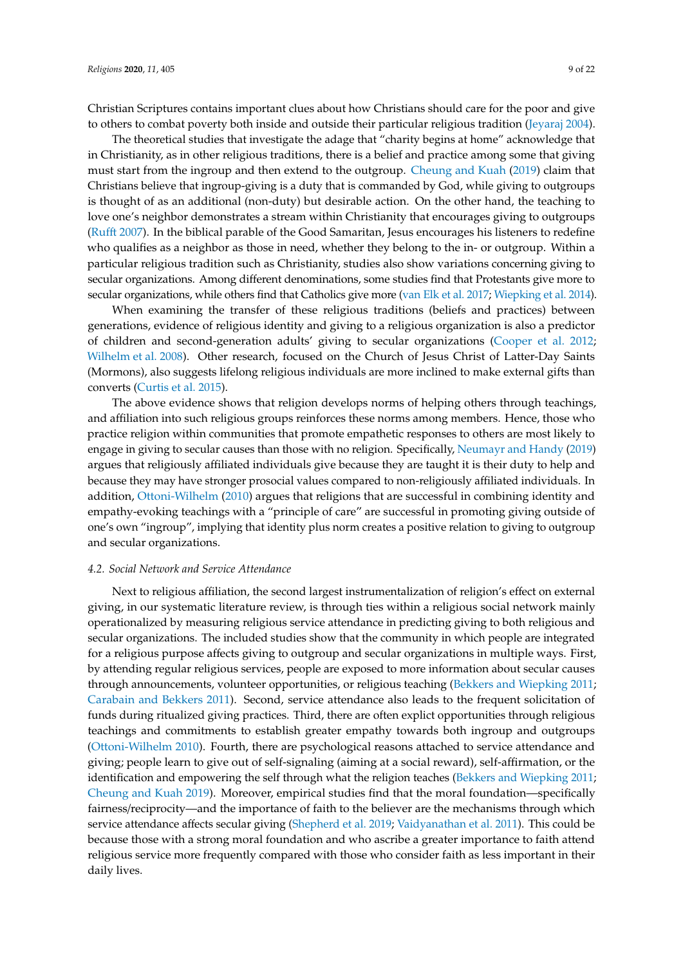Christian Scriptures contains important clues about how Christians should care for the poor and give to others to combat poverty both inside and outside their particular religious tradition [\(Jeyaraj](#page-19-16) [2004\)](#page-19-16).

The theoretical studies that investigate the adage that "charity begins at home" acknowledge that in Christianity, as in other religious traditions, there is a belief and practice among some that giving must start from the ingroup and then extend to the outgroup. [Cheung and Kuah](#page-19-2) [\(2019\)](#page-19-2) claim that Christians believe that ingroup-giving is a duty that is commanded by God, while giving to outgroups is thought of as an additional (non-duty) but desirable action. On the other hand, the teaching to love one's neighbor demonstrates a stream within Christianity that encourages giving to outgroups [\(Ru](#page-20-12)fft [2007\)](#page-20-12). In the biblical parable of the Good Samaritan, Jesus encourages his listeners to redefine who qualifies as a neighbor as those in need, whether they belong to the in- or outgroup. Within a particular religious tradition such as Christianity, studies also show variations concerning giving to secular organizations. Among different denominations, some studies find that Protestants give more to secular organizations, while others find that Catholics give more [\(van Elk et al.](#page-21-11) [2017;](#page-21-11) [Wiepking et al.](#page-21-4) [2014\)](#page-21-4).

When examining the transfer of these religious traditions (beliefs and practices) between generations, evidence of religious identity and giving to a religious organization is also a predictor of children and second-generation adults' giving to secular organizations [\(Cooper et al.](#page-19-17) [2012;](#page-19-17) [Wilhelm et al.](#page-21-9) [2008\)](#page-21-9). Other research, focused on the Church of Jesus Christ of Latter-Day Saints (Mormons), also suggests lifelong religious individuals are more inclined to make external gifts than converts [\(Curtis et al.](#page-19-12) [2015\)](#page-19-12).

The above evidence shows that religion develops norms of helping others through teachings, and affiliation into such religious groups reinforces these norms among members. Hence, those who practice religion within communities that promote empathetic responses to others are most likely to engage in giving to secular causes than those with no religion. Specifically, [Neumayr and Handy](#page-20-8) [\(2019\)](#page-20-8) argues that religiously affiliated individuals give because they are taught it is their duty to help and because they may have stronger prosocial values compared to non-religiously affiliated individuals. In addition, [Ottoni-Wilhelm](#page-20-2) [\(2010\)](#page-20-2) argues that religions that are successful in combining identity and empathy-evoking teachings with a "principle of care" are successful in promoting giving outside of one's own "ingroup", implying that identity plus norm creates a positive relation to giving to outgroup and secular organizations.

#### *4.2. Social Network and Service Attendance*

Next to religious affiliation, the second largest instrumentalization of religion's effect on external giving, in our systematic literature review, is through ties within a religious social network mainly operationalized by measuring religious service attendance in predicting giving to both religious and secular organizations. The included studies show that the community in which people are integrated for a religious purpose affects giving to outgroup and secular organizations in multiple ways. First, by attending regular religious services, people are exposed to more information about secular causes through announcements, volunteer opportunities, or religious teaching [\(Bekkers and Wiepking](#page-18-3) [2011;](#page-18-3) [Carabain and Bekkers](#page-19-18) [2011\)](#page-19-18). Second, service attendance also leads to the frequent solicitation of funds during ritualized giving practices. Third, there are often explict opportunities through religious teachings and commitments to establish greater empathy towards both ingroup and outgroups [\(Ottoni-Wilhelm](#page-20-2) [2010\)](#page-20-2). Fourth, there are psychological reasons attached to service attendance and giving; people learn to give out of self-signaling (aiming at a social reward), self-affirmation, or the identification and empowering the self through what the religion teaches [\(Bekkers and Wiepking](#page-18-3) [2011;](#page-18-3) [Cheung and Kuah](#page-19-2) [2019\)](#page-19-2). Moreover, empirical studies find that the moral foundation—specifically fairness/reciprocity—and the importance of faith to the believer are the mechanisms through which service attendance affects secular giving [\(Shepherd et al.](#page-21-8) [2019;](#page-21-8) [Vaidyanathan et al.](#page-21-3) [2011\)](#page-21-3). This could be because those with a strong moral foundation and who ascribe a greater importance to faith attend religious service more frequently compared with those who consider faith as less important in their daily lives.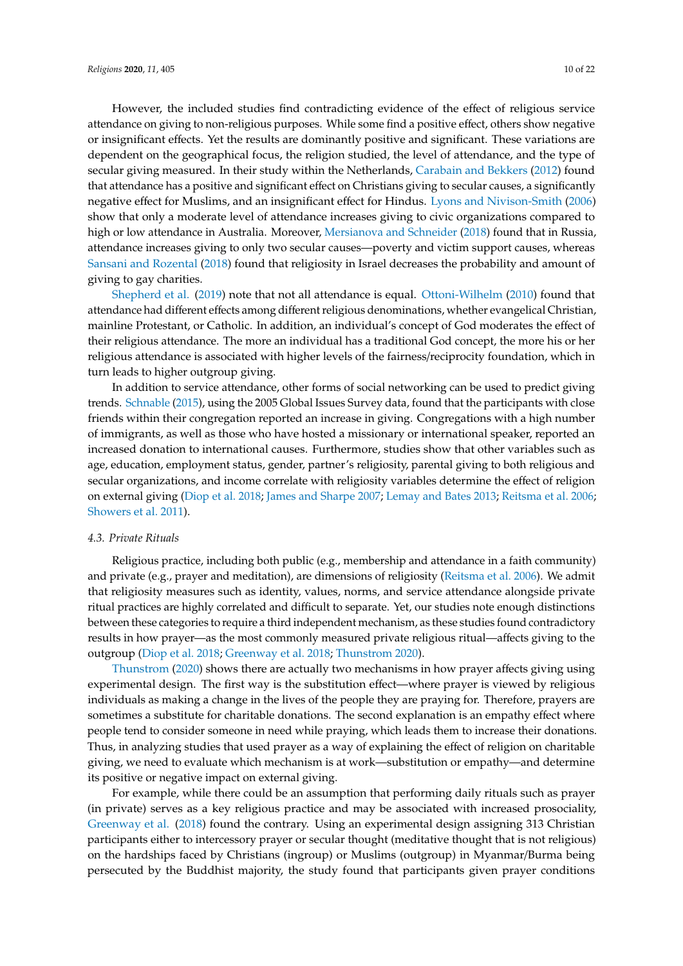However, the included studies find contradicting evidence of the effect of religious service attendance on giving to non-religious purposes. While some find a positive effect, others show negative or insignificant effects. Yet the results are dominantly positive and significant. These variations are dependent on the geographical focus, the religion studied, the level of attendance, and the type of secular giving measured. In their study within the Netherlands, [Carabain and Bekkers](#page-19-3) [\(2012\)](#page-19-3) found that attendance has a positive and significant effect on Christians giving to secular causes, a significantly negative effect for Muslims, and an insignificant effect for Hindus. [Lyons and Nivison-Smith](#page-19-9) [\(2006\)](#page-19-9) show that only a moderate level of attendance increases giving to civic organizations compared to high or low attendance in Australia. Moreover, [Mersianova and Schneider](#page-20-13) [\(2018\)](#page-20-13) found that in Russia, attendance increases giving to only two secular causes—poverty and victim support causes, whereas [Sansani and Rozental](#page-20-5) [\(2018\)](#page-20-5) found that religiosity in Israel decreases the probability and amount of giving to gay charities.

[Shepherd et al.](#page-21-8) [\(2019\)](#page-21-8) note that not all attendance is equal. [Ottoni-Wilhelm](#page-20-2) [\(2010\)](#page-20-2) found that attendance had different effects among different religious denominations, whether evangelical Christian, mainline Protestant, or Catholic. In addition, an individual's concept of God moderates the effect of their religious attendance. The more an individual has a traditional God concept, the more his or her religious attendance is associated with higher levels of the fairness/reciprocity foundation, which in turn leads to higher outgroup giving.

In addition to service attendance, other forms of social networking can be used to predict giving trends. [Schnable](#page-20-14) [\(2015\)](#page-20-14), using the 2005 Global Issues Survey data, found that the participants with close friends within their congregation reported an increase in giving. Congregations with a high number of immigrants, as well as those who have hosted a missionary or international speaker, reported an increased donation to international causes. Furthermore, studies show that other variables such as age, education, employment status, gender, partner's religiosity, parental giving to both religious and secular organizations, and income correlate with religiosity variables determine the effect of religion on external giving [\(Diop et al.](#page-19-4) [2018;](#page-19-4) [James and Sharpe](#page-19-19) [2007;](#page-19-19) [Lemay and Bates](#page-19-20) [2013;](#page-19-20) [Reitsma et al.](#page-20-7) [2006;](#page-20-7) [Showers et al.](#page-21-10) [2011\)](#page-21-10).

#### *4.3. Private Rituals*

Religious practice, including both public (e.g., membership and attendance in a faith community) and private (e.g., prayer and meditation), are dimensions of religiosity [\(Reitsma et al.](#page-20-7) [2006\)](#page-20-7). We admit that religiosity measures such as identity, values, norms, and service attendance alongside private ritual practices are highly correlated and difficult to separate. Yet, our studies note enough distinctions between these categories to require a third independent mechanism, as these studies found contradictory results in how prayer—as the most commonly measured private religious ritual—affects giving to the outgroup [\(Diop et al.](#page-19-4) [2018;](#page-19-4) [Greenway et al.](#page-19-11) [2018;](#page-19-11) [Thunstrom](#page-21-6) [2020\)](#page-21-6).

[Thunstrom](#page-21-6) [\(2020\)](#page-21-6) shows there are actually two mechanisms in how prayer affects giving using experimental design. The first way is the substitution effect—where prayer is viewed by religious individuals as making a change in the lives of the people they are praying for. Therefore, prayers are sometimes a substitute for charitable donations. The second explanation is an empathy effect where people tend to consider someone in need while praying, which leads them to increase their donations. Thus, in analyzing studies that used prayer as a way of explaining the effect of religion on charitable giving, we need to evaluate which mechanism is at work—substitution or empathy—and determine its positive or negative impact on external giving.

For example, while there could be an assumption that performing daily rituals such as prayer (in private) serves as a key religious practice and may be associated with increased prosociality, [Greenway et al.](#page-19-11) [\(2018\)](#page-19-11) found the contrary. Using an experimental design assigning 313 Christian participants either to intercessory prayer or secular thought (meditative thought that is not religious) on the hardships faced by Christians (ingroup) or Muslims (outgroup) in Myanmar/Burma being persecuted by the Buddhist majority, the study found that participants given prayer conditions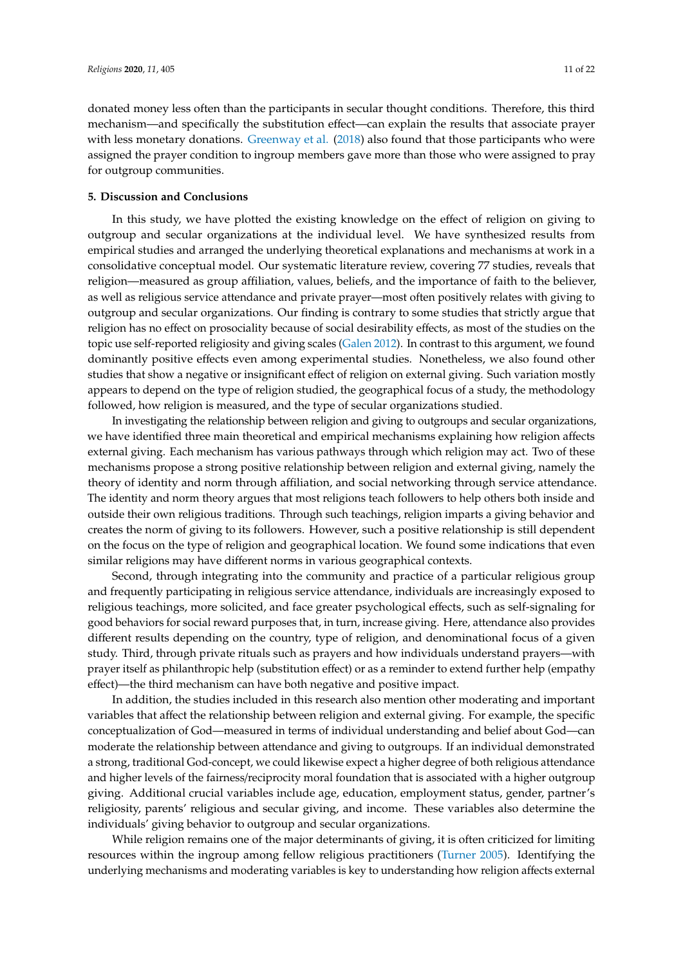donated money less often than the participants in secular thought conditions. Therefore, this third mechanism—and specifically the substitution effect—can explain the results that associate prayer with less monetary donations. [Greenway et al.](#page-19-11) [\(2018\)](#page-19-11) also found that those participants who were assigned the prayer condition to ingroup members gave more than those who were assigned to pray for outgroup communities.

#### **5. Discussion and Conclusions**

In this study, we have plotted the existing knowledge on the effect of religion on giving to outgroup and secular organizations at the individual level. We have synthesized results from empirical studies and arranged the underlying theoretical explanations and mechanisms at work in a consolidative conceptual model. Our systematic literature review, covering 77 studies, reveals that religion—measured as group affiliation, values, beliefs, and the importance of faith to the believer, as well as religious service attendance and private prayer—most often positively relates with giving to outgroup and secular organizations. Our finding is contrary to some studies that strictly argue that religion has no effect on prosociality because of social desirability effects, as most of the studies on the topic use self-reported religiosity and giving scales [\(Galen](#page-19-21) [2012\)](#page-19-21). In contrast to this argument, we found dominantly positive effects even among experimental studies. Nonetheless, we also found other studies that show a negative or insignificant effect of religion on external giving. Such variation mostly appears to depend on the type of religion studied, the geographical focus of a study, the methodology followed, how religion is measured, and the type of secular organizations studied.

In investigating the relationship between religion and giving to outgroups and secular organizations, we have identified three main theoretical and empirical mechanisms explaining how religion affects external giving. Each mechanism has various pathways through which religion may act. Two of these mechanisms propose a strong positive relationship between religion and external giving, namely the theory of identity and norm through affiliation, and social networking through service attendance. The identity and norm theory argues that most religions teach followers to help others both inside and outside their own religious traditions. Through such teachings, religion imparts a giving behavior and creates the norm of giving to its followers. However, such a positive relationship is still dependent on the focus on the type of religion and geographical location. We found some indications that even similar religions may have different norms in various geographical contexts.

Second, through integrating into the community and practice of a particular religious group and frequently participating in religious service attendance, individuals are increasingly exposed to religious teachings, more solicited, and face greater psychological effects, such as self-signaling for good behaviors for social reward purposes that, in turn, increase giving. Here, attendance also provides different results depending on the country, type of religion, and denominational focus of a given study. Third, through private rituals such as prayers and how individuals understand prayers—with prayer itself as philanthropic help (substitution effect) or as a reminder to extend further help (empathy effect)—the third mechanism can have both negative and positive impact.

In addition, the studies included in this research also mention other moderating and important variables that affect the relationship between religion and external giving. For example, the specific conceptualization of God—measured in terms of individual understanding and belief about God—can moderate the relationship between attendance and giving to outgroups. If an individual demonstrated a strong, traditional God-concept, we could likewise expect a higher degree of both religious attendance and higher levels of the fairness/reciprocity moral foundation that is associated with a higher outgroup giving. Additional crucial variables include age, education, employment status, gender, partner's religiosity, parents' religious and secular giving, and income. These variables also determine the individuals' giving behavior to outgroup and secular organizations.

While religion remains one of the major determinants of giving, it is often criticized for limiting resources within the ingroup among fellow religious practitioners [\(Turner](#page-21-0) [2005\)](#page-21-0). Identifying the underlying mechanisms and moderating variables is key to understanding how religion affects external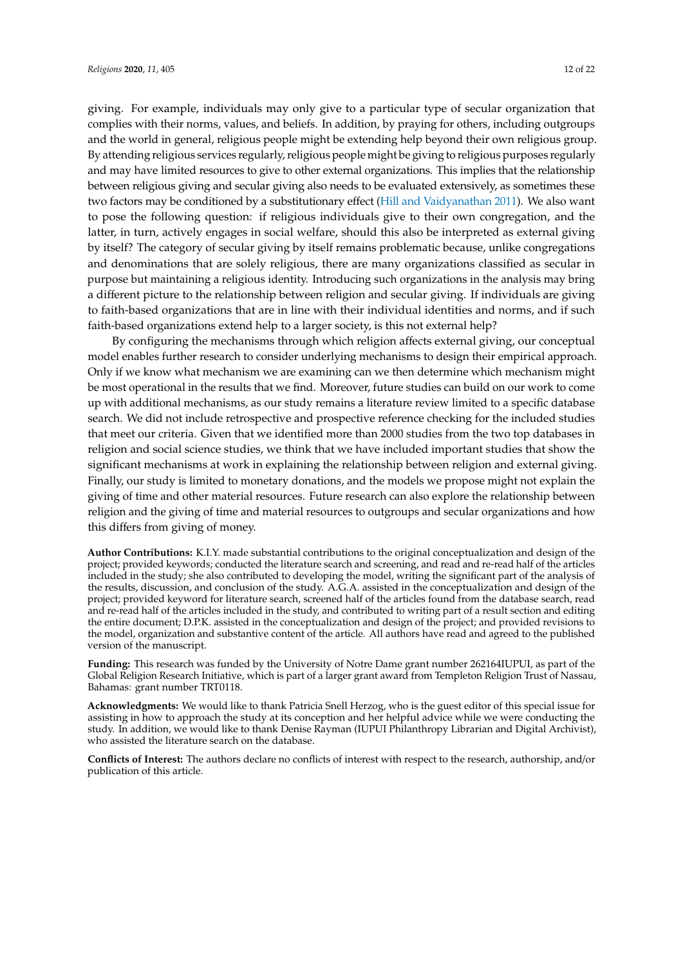giving. For example, individuals may only give to a particular type of secular organization that complies with their norms, values, and beliefs. In addition, by praying for others, including outgroups and the world in general, religious people might be extending help beyond their own religious group. By attending religious services regularly, religious people might be giving to religious purposes regularly and may have limited resources to give to other external organizations. This implies that the relationship between religious giving and secular giving also needs to be evaluated extensively, as sometimes these two factors may be conditioned by a substitutionary effect [\(Hill and Vaidyanathan](#page-19-6) [2011\)](#page-19-6). We also want to pose the following question: if religious individuals give to their own congregation, and the latter, in turn, actively engages in social welfare, should this also be interpreted as external giving by itself? The category of secular giving by itself remains problematic because, unlike congregations and denominations that are solely religious, there are many organizations classified as secular in purpose but maintaining a religious identity. Introducing such organizations in the analysis may bring a different picture to the relationship between religion and secular giving. If individuals are giving to faith-based organizations that are in line with their individual identities and norms, and if such faith-based organizations extend help to a larger society, is this not external help?

By configuring the mechanisms through which religion affects external giving, our conceptual model enables further research to consider underlying mechanisms to design their empirical approach. Only if we know what mechanism we are examining can we then determine which mechanism might be most operational in the results that we find. Moreover, future studies can build on our work to come up with additional mechanisms, as our study remains a literature review limited to a specific database search. We did not include retrospective and prospective reference checking for the included studies that meet our criteria. Given that we identified more than 2000 studies from the two top databases in religion and social science studies, we think that we have included important studies that show the significant mechanisms at work in explaining the relationship between religion and external giving. Finally, our study is limited to monetary donations, and the models we propose might not explain the giving of time and other material resources. Future research can also explore the relationship between religion and the giving of time and material resources to outgroups and secular organizations and how this differs from giving of money.

**Author Contributions:** K.I.Y. made substantial contributions to the original conceptualization and design of the project; provided keywords; conducted the literature search and screening, and read and re-read half of the articles included in the study; she also contributed to developing the model, writing the significant part of the analysis of the results, discussion, and conclusion of the study. A.G.A. assisted in the conceptualization and design of the project; provided keyword for literature search, screened half of the articles found from the database search, read and re-read half of the articles included in the study, and contributed to writing part of a result section and editing the entire document; D.P.K. assisted in the conceptualization and design of the project; and provided revisions to the model, organization and substantive content of the article. All authors have read and agreed to the published version of the manuscript.

**Funding:** This research was funded by the University of Notre Dame grant number 262164IUPUI, as part of the Global Religion Research Initiative, which is part of a larger grant award from Templeton Religion Trust of Nassau, Bahamas: grant number TRT0118.

**Acknowledgments:** We would like to thank Patricia Snell Herzog, who is the guest editor of this special issue for assisting in how to approach the study at its conception and her helpful advice while we were conducting the study. In addition, we would like to thank Denise Rayman (IUPUI Philanthropy Librarian and Digital Archivist), who assisted the literature search on the database.

**Conflicts of Interest:** The authors declare no conflicts of interest with respect to the research, authorship, and/or publication of this article.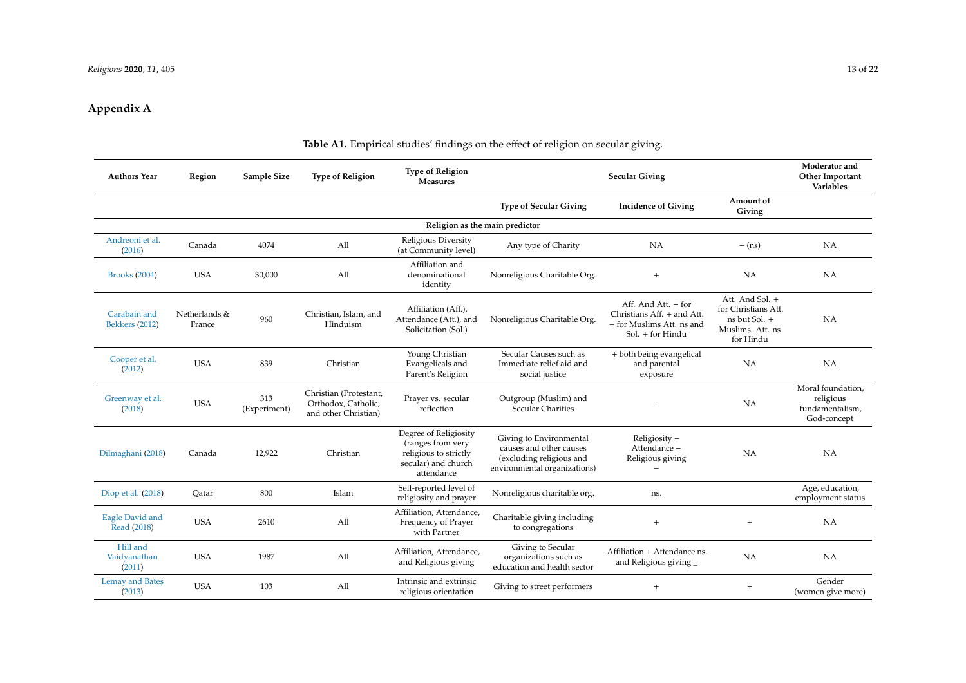# **Appendix A**

<span id="page-12-0"></span>

| <b>Authors Year</b>                   | Region                  | Sample Size         | <b>Type of Religion</b>                                               | <b>Type of Religion</b><br><b>Measures</b>                                                               |                                                                                                                | <b>Secular Giving</b>                                                                                |                                                                                          | Moderator and<br><b>Other Important</b><br>Variables             |  |  |  |
|---------------------------------------|-------------------------|---------------------|-----------------------------------------------------------------------|----------------------------------------------------------------------------------------------------------|----------------------------------------------------------------------------------------------------------------|------------------------------------------------------------------------------------------------------|------------------------------------------------------------------------------------------|------------------------------------------------------------------|--|--|--|
|                                       |                         |                     |                                                                       |                                                                                                          | <b>Type of Secular Giving</b>                                                                                  | <b>Incidence of Giving</b>                                                                           | Amount of<br>Giving                                                                      |                                                                  |  |  |  |
| Religion as the main predictor        |                         |                     |                                                                       |                                                                                                          |                                                                                                                |                                                                                                      |                                                                                          |                                                                  |  |  |  |
| Andreoni et al.<br>(2016)             | Canada                  | 4074                | All                                                                   | Religious Diversity<br>(at Community level)                                                              | Any type of Charity                                                                                            | NA                                                                                                   | $-$ (ns)                                                                                 | NA                                                               |  |  |  |
| <b>Brooks</b> (2004)                  | <b>USA</b>              | 30,000              | All                                                                   | Affiliation and<br>denominational<br>identity                                                            | Nonreligious Charitable Org.                                                                                   | $^{+}$                                                                                               | NA                                                                                       | NA                                                               |  |  |  |
| Carabain and<br><b>Bekkers</b> (2012) | Netherlands &<br>France | 960                 | Christian, Islam, and<br>Hinduism                                     | Affiliation (Aff.),<br>Attendance (Att.), and<br>Solicitation (Sol.)                                     | Nonreligious Charitable Org.                                                                                   | Aff. And Att. $+$ for<br>Christians Aff. + and Att.<br>– for Muslims Att. ns and<br>Sol. + for Hindu | Att. And Sol. +<br>for Christians Att.<br>ns but Sol. +<br>Muslims. Att. ns<br>for Hindu | NA                                                               |  |  |  |
| Cooper et al.<br>(2012)               | <b>USA</b>              | 839                 | Christian                                                             | Young Christian<br>Evangelicals and<br>Parent's Religion                                                 | Secular Causes such as<br>Immediate relief aid and<br>social justice                                           | + both being evangelical<br>and parental<br>exposure                                                 | NA                                                                                       | NA                                                               |  |  |  |
| Greenway et al.<br>(2018)             | <b>USA</b>              | 313<br>(Experiment) | Christian (Protestant,<br>Orthodox, Catholic,<br>and other Christian) | Prayer vs. secular<br>reflection                                                                         | Outgroup (Muslim) and<br>Secular Charities                                                                     |                                                                                                      | NA                                                                                       | Moral foundation,<br>religious<br>fundamentalism,<br>God-concept |  |  |  |
| Dilmaghani (2018)                     | Canada                  | 12,922              | Christian                                                             | Degree of Religiosity<br>(ranges from very<br>religious to strictly<br>secular) and church<br>attendance | Giving to Environmental<br>causes and other causes<br>(excluding religious and<br>environmental organizations) | Religiosity -<br>Attendance-<br>Religious giving                                                     | NA                                                                                       | NA                                                               |  |  |  |
| Diop et al. (2018)                    | Oatar                   | 800                 | Islam                                                                 | Self-reported level of<br>religiosity and prayer                                                         | Nonreligious charitable org.                                                                                   | ns.                                                                                                  |                                                                                          | Age, education,<br>employment status                             |  |  |  |
| Eagle David and<br>Read (2018)        | <b>USA</b>              | 2610                | All                                                                   | Affiliation, Attendance<br>Frequency of Prayer<br>with Partner                                           | Charitable giving including<br>to congregations                                                                | $+$                                                                                                  | $+$                                                                                      | NA                                                               |  |  |  |
| Hill and<br>Vaidyanathan<br>(2011)    | <b>USA</b>              | 1987                | All                                                                   | Affiliation, Attendance,<br>and Religious giving                                                         | Giving to Secular<br>organizations such as<br>education and health sector                                      | Affiliation + Attendance ns.<br>and Religious giving _                                               | NA                                                                                       | NA                                                               |  |  |  |
| Lemay and Bates<br>(2013)             | <b>USA</b>              | 103                 | All                                                                   | Intrinsic and extrinsic<br>religious orientation                                                         | Giving to street performers                                                                                    | $^{+}$                                                                                               | $+$                                                                                      | Gender<br>(women give more)                                      |  |  |  |

## **Table A1.** Empirical studies' findings on the effect of religion on secular giving.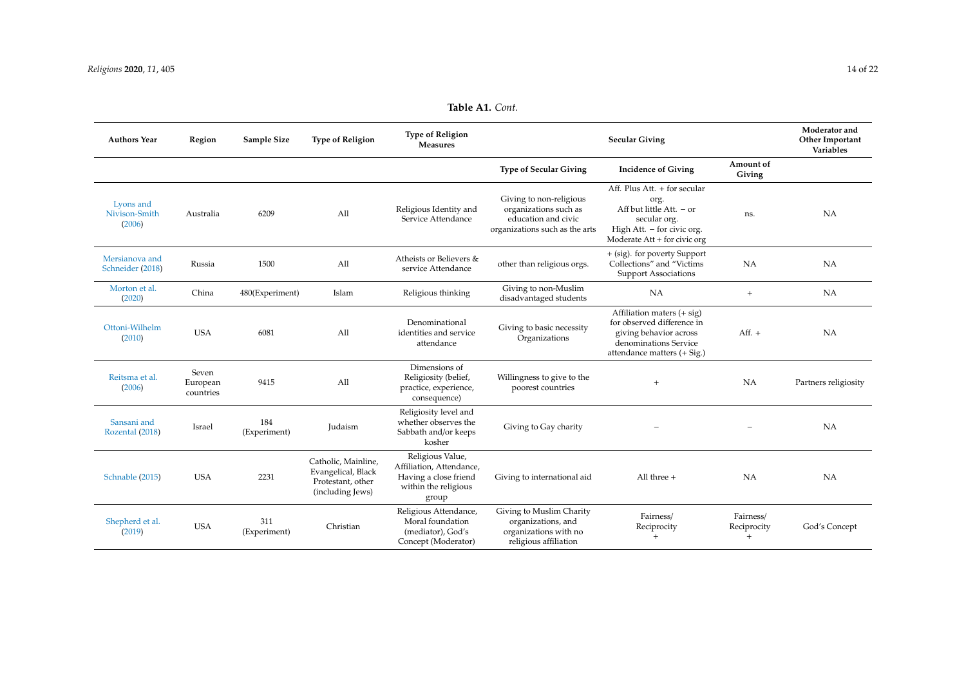|                       | <b>Secular Giving</b>                                                                                                                                                                                                                                                                                                                                                                                         |                     | Moderator and<br>Other Important<br><b>Variables</b> |
|-----------------------|---------------------------------------------------------------------------------------------------------------------------------------------------------------------------------------------------------------------------------------------------------------------------------------------------------------------------------------------------------------------------------------------------------------|---------------------|------------------------------------------------------|
| <b>Secular Giving</b> | <b>Incidence of Giving</b>                                                                                                                                                                                                                                                                                                                                                                                    | Amount of<br>Giving |                                                      |
|                       | $A \, \mathcal{L} \, \mathcal{L}$ $D1$ $A \, \mathcal{L} \, \mathcal{L}$ $A \, \mathcal{L} \, \mathcal{L}$ $A \, \mathcal{L} \, \mathcal{L} \, \mathcal{L} \, \mathcal{L} \, \mathcal{L} \, \mathcal{L} \, \mathcal{L} \, \mathcal{L} \, \mathcal{L} \, \mathcal{L} \, \mathcal{L} \, \mathcal{L} \, \mathcal{L} \, \mathcal{L} \, \mathcal{L} \, \mathcal{L} \, \mathcal{L} \, \mathcal{L} \, \mathcal{L} \$ |                     |                                                      |

**Table A1.** *Cont.*

| <b>Authors Year</b>                  | Region                         | Sample Size         | <b>Type of Religion</b>                                                            | <b>Type of Religion</b><br><b>Measures</b>                                                             |                                                                                                           | <b>Secular Giving</b>                                                                                                                                |                                 | <b>WOUCLATOL AIRE</b><br>Other Important<br>Variables |
|--------------------------------------|--------------------------------|---------------------|------------------------------------------------------------------------------------|--------------------------------------------------------------------------------------------------------|-----------------------------------------------------------------------------------------------------------|------------------------------------------------------------------------------------------------------------------------------------------------------|---------------------------------|-------------------------------------------------------|
|                                      |                                |                     |                                                                                    |                                                                                                        | <b>Type of Secular Giving</b>                                                                             | <b>Incidence of Giving</b>                                                                                                                           | Amount of<br>Giving             |                                                       |
| Lyons and<br>Nivison-Smith<br>(2006) | Australia                      | 6209                | All                                                                                | Religious Identity and<br>Service Attendance                                                           | Giving to non-religious<br>organizations such as<br>education and civic<br>organizations such as the arts | Aff. Plus Att. $+$ for secular<br>org.<br>Aff but little Att. $-$ or<br>secular org.<br>High Att. $-$ for civic org.<br>Moderate Att + for civic org | ns.                             | <b>NA</b>                                             |
| Mersianova and<br>Schneider (2018)   | Russia                         | 1500                | All                                                                                | Atheists or Believers &<br>service Attendance                                                          | other than religious orgs.                                                                                | + (sig). for poverty Support<br>Collections" and "Victims<br><b>Support Associations</b>                                                             | <b>NA</b>                       | NA                                                    |
| Morton et al.<br>(2020)              | China                          | 480(Experiment)     | Islam                                                                              | Religious thinking                                                                                     | Giving to non-Muslim<br>disadvantaged students                                                            | NA                                                                                                                                                   | $^{+}$                          | NA                                                    |
| Ottoni-Wilhelm<br>(2010)             | <b>USA</b>                     | 6081                | All                                                                                | Denominational<br>identities and service<br>attendance                                                 | Giving to basic necessity<br>Organizations                                                                | Affiliation maters $(+ sig)$<br>for observed difference in<br>giving behavior across<br>denominations Service<br>attendance matters (+ Sig.)         | $Aff. +$                        | NA                                                    |
| Reitsma et al.<br>(2006)             | Seven<br>European<br>countries | 9415                | All                                                                                | Dimensions of<br>Religiosity (belief,<br>practice, experience,<br>consequence)                         | Willingness to give to the<br>poorest countries                                                           | $+$                                                                                                                                                  | NA                              | Partners religiosity                                  |
| Sansani and<br>Rozental (2018)       | Israel                         | 184<br>(Experiment) | Judaism                                                                            | Religiosity level and<br>whether observes the<br>Sabbath and/or keeps<br>kosher                        | Giving to Gay charity                                                                                     |                                                                                                                                                      |                                 | NA                                                    |
| Schnable (2015)                      | <b>USA</b>                     | 2231                | Catholic, Mainline,<br>Evangelical, Black<br>Protestant, other<br>(including Jews) | Religious Value,<br>Affiliation, Attendance,<br>Having a close friend<br>within the religious<br>group | Giving to international aid                                                                               | All three $+$                                                                                                                                        | NA                              | NA                                                    |
| Shepherd et al.<br>(2019)            | <b>USA</b>                     | 311<br>(Experiment) | Christian                                                                          | Religious Attendance,<br>Moral foundation<br>(mediator), God's<br>Concept (Moderator)                  | Giving to Muslim Charity<br>organizations, and<br>organizations with no<br>religious affiliation          | Fairness/<br>Reciprocity<br>$+$                                                                                                                      | Fairness/<br>Reciprocity<br>$+$ | God's Concept                                         |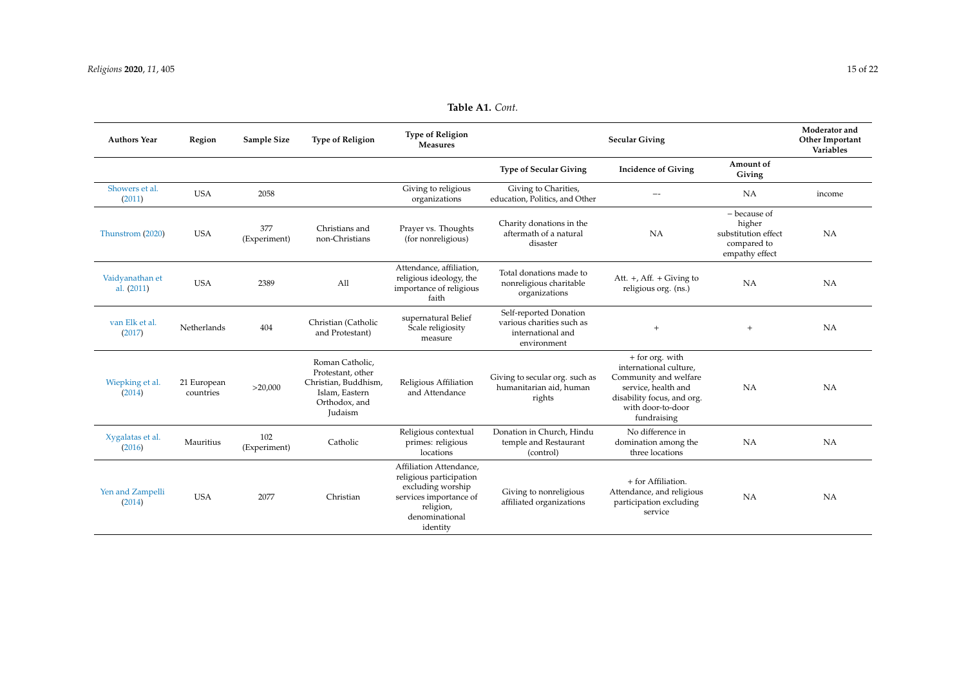| <b>Authors Year</b>           | Region                   | Sample Size         | <b>Type of Religion</b>                                                                                    | <b>Type of Religion</b><br><b>Measures</b>                                                                                                   |                                                                                         | <b>Secular Giving</b>                                                                                                                                       |                                                                                | Moderator and<br><b>Other Important</b><br>Variables |
|-------------------------------|--------------------------|---------------------|------------------------------------------------------------------------------------------------------------|----------------------------------------------------------------------------------------------------------------------------------------------|-----------------------------------------------------------------------------------------|-------------------------------------------------------------------------------------------------------------------------------------------------------------|--------------------------------------------------------------------------------|------------------------------------------------------|
|                               |                          |                     |                                                                                                            |                                                                                                                                              | <b>Type of Secular Giving</b>                                                           | <b>Incidence of Giving</b>                                                                                                                                  | Amount of<br>Giving                                                            |                                                      |
| Showers et al.<br>(2011)      | <b>USA</b>               | 2058                |                                                                                                            | Giving to religious<br>organizations                                                                                                         | Giving to Charities,<br>education, Politics, and Other                                  |                                                                                                                                                             | NA                                                                             | income                                               |
| Thunstrom (2020)              | <b>USA</b>               | 377<br>(Experiment) | Christians and<br>non-Christians                                                                           | Prayer vs. Thoughts<br>(for nonreligious)                                                                                                    | Charity donations in the<br>aftermath of a natural<br>disaster                          | NA                                                                                                                                                          | - because of<br>higher<br>substitution effect<br>compared to<br>empathy effect | <b>NA</b>                                            |
| Vaidyanathan et<br>al. (2011) | <b>USA</b>               | 2389                | All                                                                                                        | Attendance, affiliation,<br>religious ideology, the<br>importance of religious<br>faith                                                      | Total donations made to<br>nonreligious charitable<br>organizations                     | Att. $+$ , Aff. $+$ Giving to<br>religious org. (ns.)                                                                                                       | NA                                                                             | NA                                                   |
| van Elk et al.<br>(2017)      | Netherlands              | 404                 | Christian (Catholic<br>and Protestant)                                                                     | supernatural Belief<br>Scale religiosity<br>measure                                                                                          | Self-reported Donation<br>various charities such as<br>international and<br>environment | $+$                                                                                                                                                         | $^{+}$                                                                         | NA                                                   |
| Wiepking et al.<br>(2014)     | 21 European<br>countries | >20,000             | Roman Catholic,<br>Protestant, other<br>Christian, Buddhism,<br>Islam, Eastern<br>Orthodox, and<br>Judaism | Religious Affiliation<br>and Attendance                                                                                                      | Giving to secular org. such as<br>humanitarian aid, human<br>rights                     | + for org. with<br>international culture.<br>Community and welfare<br>service, health and<br>disability focus, and org.<br>with door-to-door<br>fundraising | NA                                                                             | NA                                                   |
| Xygalatas et al.<br>(2016)    | Mauritius                | 102<br>(Experiment) | Catholic                                                                                                   | Religious contextual<br>primes: religious<br>locations                                                                                       | Donation in Church, Hindu<br>temple and Restaurant<br>(control)                         | No difference in<br>domination among the<br>three locations                                                                                                 | NA                                                                             | NA                                                   |
| Yen and Zampelli<br>(2014)    | <b>USA</b>               | 2077                | Christian                                                                                                  | Affiliation Attendance,<br>religious participation<br>excluding worship<br>services importance of<br>religion,<br>denominational<br>identity | Giving to nonreligious<br>affiliated organizations                                      | + for Affiliation.<br>Attendance, and religious<br>participation excluding<br>service                                                                       | NA                                                                             | NA                                                   |

**Table A1.** *Cont.*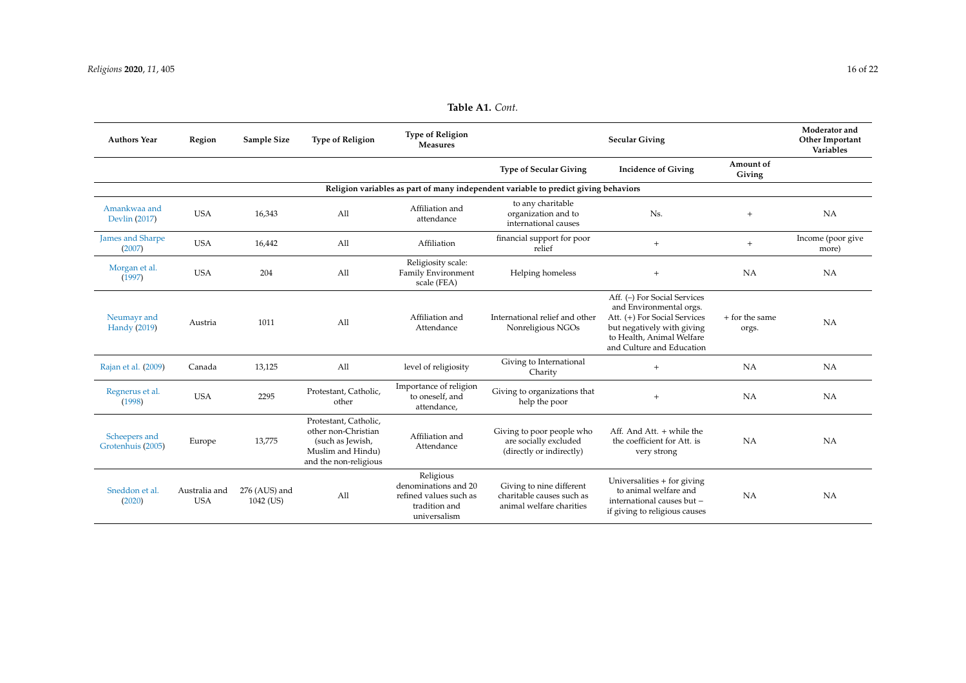| <b>Authors Year</b>                                                                 | Region                      | Sample Size                | <b>Type of Religion</b>                                                                                        | <b>Type of Religion</b><br><b>Measures</b>                                                   |                                                                                   | <b>Secular Giving</b>                                                                                                                                                           |                         | Moderator and<br><b>Other Important</b><br><b>Variables</b> |  |  |
|-------------------------------------------------------------------------------------|-----------------------------|----------------------------|----------------------------------------------------------------------------------------------------------------|----------------------------------------------------------------------------------------------|-----------------------------------------------------------------------------------|---------------------------------------------------------------------------------------------------------------------------------------------------------------------------------|-------------------------|-------------------------------------------------------------|--|--|
|                                                                                     |                             |                            |                                                                                                                |                                                                                              | <b>Type of Secular Giving</b>                                                     | <b>Incidence of Giving</b>                                                                                                                                                      | Amount of<br>Giving     |                                                             |  |  |
| Religion variables as part of many independent variable to predict giving behaviors |                             |                            |                                                                                                                |                                                                                              |                                                                                   |                                                                                                                                                                                 |                         |                                                             |  |  |
| Amankwaa and<br>Devlin (2017)                                                       | <b>USA</b>                  | 16,343                     | All                                                                                                            | Affiliation and<br>attendance                                                                | to any charitable<br>organization and to<br>international causes                  | Ns.                                                                                                                                                                             | $^{+}$                  | NA                                                          |  |  |
| James and Sharpe<br>(2007)                                                          | <b>USA</b>                  | 16,442                     | All                                                                                                            | Affiliation                                                                                  | financial support for poor<br>relief                                              | $+$                                                                                                                                                                             | $+$                     | Income (poor give<br>more)                                  |  |  |
| Morgan et al.<br>(1997)                                                             | <b>USA</b>                  | 204                        | All                                                                                                            | Religiosity scale:<br>Family Environment<br>scale (FEA)                                      | Helping homeless                                                                  | $^{+}$                                                                                                                                                                          | NA                      | NA                                                          |  |  |
| Neumayr and<br><b>Handy (2019)</b>                                                  | Austria                     | 1011                       | All                                                                                                            | Affiliation and<br>Attendance                                                                | International relief and other<br>Nonreligious NGOs                               | Aff. (-) For Social Services<br>and Environmental orgs.<br>Att. (+) For Social Services<br>but negatively with giving<br>to Health, Animal Welfare<br>and Culture and Education | + for the same<br>orgs. | NA                                                          |  |  |
| Rajan et al. (2009)                                                                 | Canada                      | 13,125                     | All                                                                                                            | level of religiosity                                                                         | Giving to International<br>Charity                                                | $+$                                                                                                                                                                             | NA                      | NA                                                          |  |  |
| Regnerus et al.<br>(1998)                                                           | <b>USA</b>                  | 2295                       | Protestant, Catholic,<br>other                                                                                 | Importance of religion<br>to oneself, and<br>attendance,                                     | Giving to organizations that<br>help the poor                                     | $+$                                                                                                                                                                             | NA                      | NA                                                          |  |  |
| Scheepers and<br>Grotenhuis (2005)                                                  | Europe                      | 13,775                     | Protestant, Catholic,<br>other non-Christian<br>(such as Jewish,<br>Muslim and Hindu)<br>and the non-religious | Affiliation and<br>Attendance                                                                | Giving to poor people who<br>are socially excluded<br>(directly or indirectly)    | Aff. And Att. $+$ while the<br>the coefficient for Att. is<br>very strong                                                                                                       | NA                      | NA                                                          |  |  |
| Sneddon et al.<br>(2020)                                                            | Australia and<br><b>USA</b> | 276 (AUS) and<br>1042 (US) | All                                                                                                            | Religious<br>denominations and 20<br>refined values such as<br>tradition and<br>universalism | Giving to nine different<br>charitable causes such as<br>animal welfare charities | Universalities + for giving<br>to animal welfare and<br>international causes but -<br>if giving to religious causes                                                             | NA                      | NA                                                          |  |  |

#### **Table A1.** *Cont.*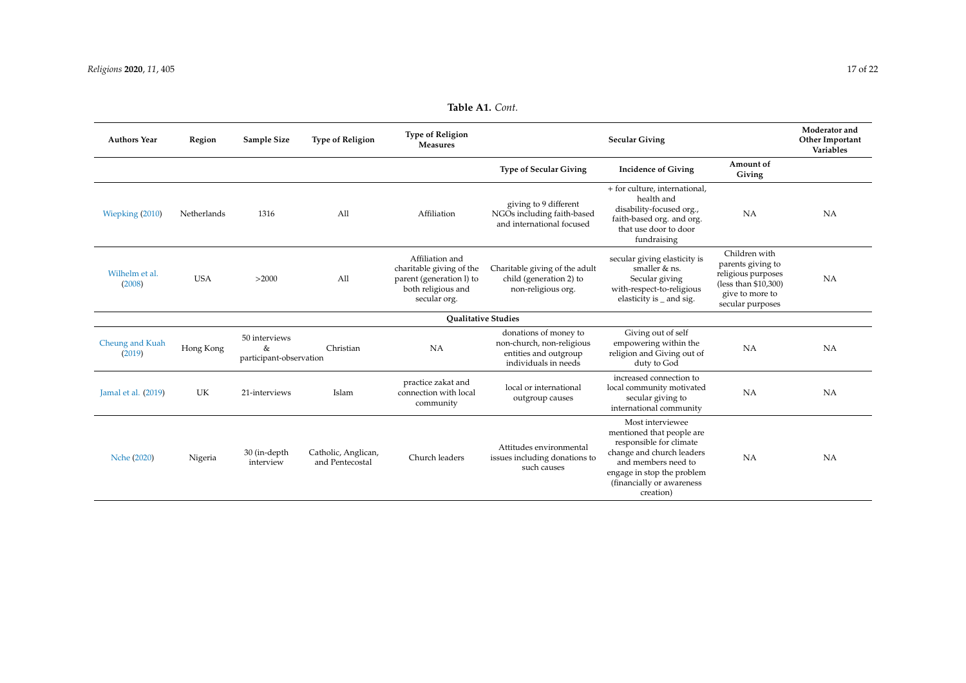| <b>Authors Year</b>       | Region      | Sample Size                                   | <b>Type of Religion</b>                | <b>Type of Religion</b><br><b>Measures</b>                                                                    |                                                                                                     | <b>Secular Giving</b>                                                                                                                                                                   |                                                                                                                         | Moderator and<br>Other Important<br><b>Variables</b> |
|---------------------------|-------------|-----------------------------------------------|----------------------------------------|---------------------------------------------------------------------------------------------------------------|-----------------------------------------------------------------------------------------------------|-----------------------------------------------------------------------------------------------------------------------------------------------------------------------------------------|-------------------------------------------------------------------------------------------------------------------------|------------------------------------------------------|
|                           |             |                                               |                                        |                                                                                                               | <b>Type of Secular Giving</b>                                                                       | <b>Incidence of Giving</b>                                                                                                                                                              | Amount of<br>Giving                                                                                                     |                                                      |
| Wiepking (2010)           | Netherlands | 1316                                          | All                                    | Affiliation                                                                                                   | giving to 9 different<br>NGOs including faith-based<br>and international focused                    | + for culture, international,<br>health and<br>disability-focused org.,<br>faith-based org. and org.<br>that use door to door<br>fundraising                                            | NA                                                                                                                      | NA                                                   |
| Wilhelm et al.<br>(2008)  | <b>USA</b>  | >2000                                         | All                                    | Affiliation and<br>charitable giving of the<br>parent (generation l) to<br>both religious and<br>secular org. | Charitable giving of the adult<br>child (generation 2) to<br>non-religious org.                     | secular giving elasticity is<br>smaller & ns.<br>Secular giving<br>with-respect-to-religious<br>elasticity is _ and sig.                                                                | Children with<br>parents giving to<br>religious purposes<br>(less than \$10,300)<br>give to more to<br>secular purposes | NA                                                   |
|                           |             |                                               |                                        | <b>Oualitative Studies</b>                                                                                    |                                                                                                     |                                                                                                                                                                                         |                                                                                                                         |                                                      |
| Cheung and Kuah<br>(2019) | Hong Kong   | 50 interviews<br>&<br>participant-observation | Christian                              | NA                                                                                                            | donations of money to<br>non-church, non-religious<br>entities and outgroup<br>individuals in needs | Giving out of self<br>empowering within the<br>religion and Giving out of<br>duty to God                                                                                                | NA                                                                                                                      | NA                                                   |
| Jamal et al. (2019)       | UK          | 21-interviews                                 | Islam                                  | practice zakat and<br>connection with local<br>community                                                      | local or international<br>outgroup causes                                                           | increased connection to<br>local community motivated<br>secular giving to<br>international community                                                                                    | NA                                                                                                                      | NA                                                   |
| Nche (2020)               | Nigeria     | 30 (in-depth<br>interview                     | Catholic, Anglican,<br>and Pentecostal | Church leaders                                                                                                | Attitudes environmental<br>issues including donations to<br>such causes                             | Most interviewee<br>mentioned that people are<br>responsible for climate<br>change and church leaders<br>and members need to<br>engage in stop the problem<br>(financially or awareness | NA                                                                                                                      | NA                                                   |

creation)

**Table A1.** *Cont.*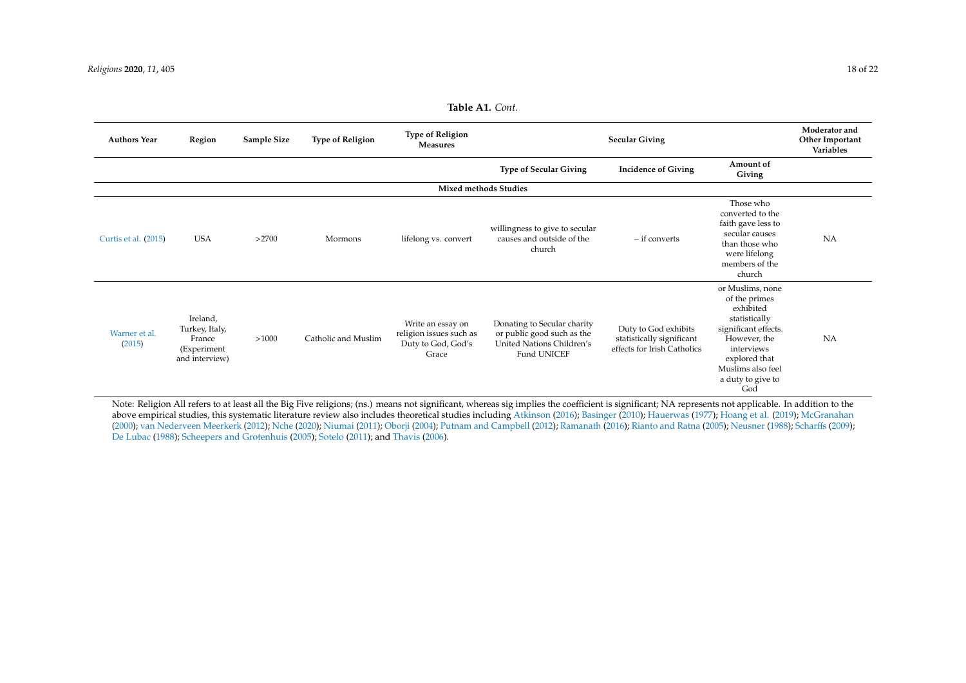| <b>Authors Year</b>          | Region                                                                | Sample Size | <b>Type of Religion</b> | <b>Type of Religion</b><br><b>Measures</b>                                  |                                                                                                       | <b>Secular Giving</b>                                                            |                                                                                                                                                                                         | Moderator and<br>Other Important<br>Variables |  |
|------------------------------|-----------------------------------------------------------------------|-------------|-------------------------|-----------------------------------------------------------------------------|-------------------------------------------------------------------------------------------------------|----------------------------------------------------------------------------------|-----------------------------------------------------------------------------------------------------------------------------------------------------------------------------------------|-----------------------------------------------|--|
|                              |                                                                       |             |                         |                                                                             | <b>Type of Secular Giving</b>                                                                         | <b>Incidence of Giving</b>                                                       | Amount of<br>Giving                                                                                                                                                                     |                                               |  |
| <b>Mixed methods Studies</b> |                                                                       |             |                         |                                                                             |                                                                                                       |                                                                                  |                                                                                                                                                                                         |                                               |  |
| Curtis et al. (2015)         | <b>USA</b>                                                            | >2700       | Mormons                 | lifelong vs. convert                                                        | willingness to give to secular<br>causes and outside of the<br>church                                 | $-$ if converts                                                                  | Those who<br>converted to the<br>faith gave less to<br>secular causes<br>than those who<br>were lifelong<br>members of the<br>church                                                    | NA                                            |  |
| Warner et al.<br>(2015)      | Ireland,<br>Turkey, Italy,<br>France<br>(Experiment<br>and interview) | >1000       | Catholic and Muslim     | Write an essay on<br>religion issues such as<br>Duty to God, God's<br>Grace | Donating to Secular charity<br>or public good such as the<br>United Nations Children's<br>Fund UNICEF | Duty to God exhibits<br>statistically significant<br>effects for Irish Catholics | or Muslims, none<br>of the primes<br>exhibited<br>statistically<br>significant effects.<br>However, the<br>interviews<br>explored that<br>Muslims also feel<br>a duty to give to<br>God | NA                                            |  |

**Table A1.** *Cont.*

<span id="page-17-0"></span>Note: Religion All refers to at least all the Big Five religions; (ns.) means not significant, whereas sig implies the coefficient is significant; NA represents not applicable. In addition to the above empirical studies, this systematic literature review also includes theoretical studies including [Atkinson](#page-18-9) [\(2016\)](#page-18-9); [Basinger](#page-18-10) [\(2010\)](#page-18-10); [Hauerwas](#page-19-35) [\(1977\)](#page-19-35); [Hoang et al.](#page-19-36) [\(2019\)](#page-19-36); [McGranahan](#page-20-27) [\(2000\)](#page-20-27); [van Nederveen Meerkerk](#page-21-23) [\(2012\)](#page-21-23); [Nche](#page-20-26) [\(2020\)](#page-20-26); [Niumai](#page-20-28) [\(2011\)](#page-20-28); [Oborji](#page-20-29) [\(2004\)](#page-20-29); [Putnam and Campbell](#page-20-30) [\(2012\)](#page-20-30); [Ramanath](#page-20-31) [\(2016\)](#page-20-31); [Rianto and Ratna](#page-20-32) [\(2005\)](#page-20-32); [Neusner](#page-20-33) [\(1988\)](#page-20-33); [Schar](#page-20-34)ffs [\(2009\)](#page-20-34); [De Lubac](#page-19-37) [\(1988\)](#page-19-37); [Scheepers and Grotenhuis](#page-20-25) [\(2005\)](#page-20-25); [Sotelo](#page-21-24) [\(2011\)](#page-21-24); and [Thavis](#page-21-25) [\(2006\)](#page-21-25).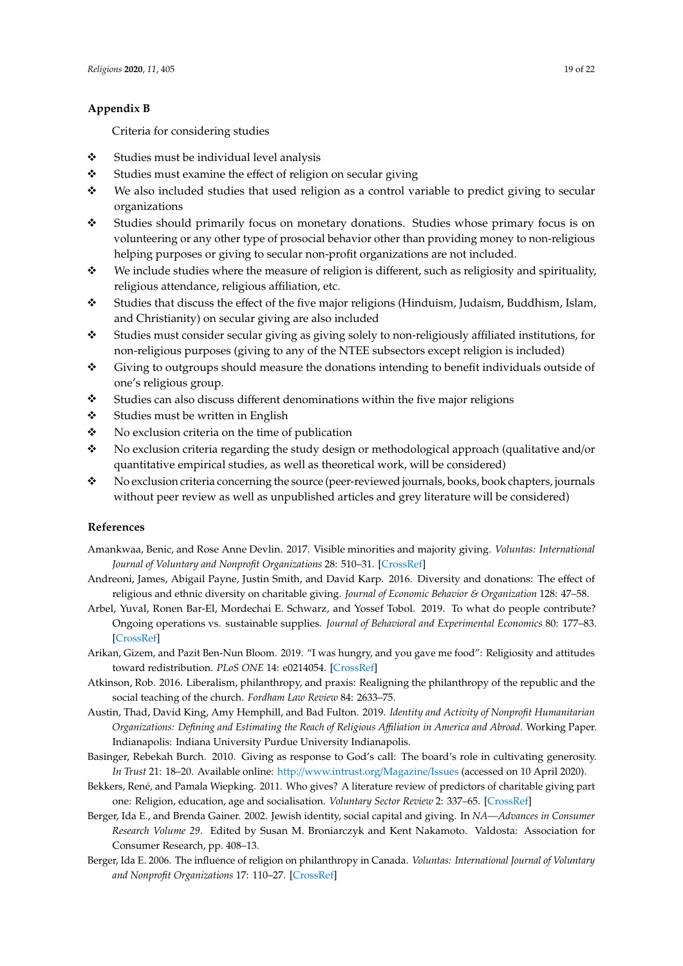#### <span id="page-18-4"></span>**Appendix B Appendix B Appendix R**

Criteria for considering studies

- **\*** Studies must be individual level analysis
- $\cdot$  Studies must examine the effect of religion on secular giving **A** *S* budies
- \* We also included studies that used religion as a control variable to predict giving to secular organizations as a control variable to predict giving to secular giving to predict giving to secular giving to
- Studies should primarily focus on monetary donations. Studies whose primary focus is on volunteering or any other type of prosocial behavior other than providing money to non-religious helping purposes or giving to secular non-profit organizations are not included. helping purposes or giving to secular non-profit organizations are not included.
- <span id="page-18-8"></span>❖ We include studies where the measure of religion is different, such as religiosity and spirituality, religious attendance, religious affiliation, etc. **Preligious attendance, religious affiliation, etc. 2020**, **2020**, **2020**, **2020**, **2020**
- <span id="page-18-7"></span>Studies that discuss the effect of the five major religions (Hinduism, Judaism, Buddhism, Islam, and Christianity) on secular giving are also included and Christianity) on secular giving are also included
- Studies must consider secular giving as giving solely to non-religiously affiliated institutions, for non-religious purposes (giving to any of the NTEE subsectors except religion is included) non-religious purposes (giving to any of the NTEE subsectors except religion is included)
- For religious purposes (giving to any of the NTEE subsectors except religion is included) one's religious group. Studies can also discuss different denominations within the five major religions Giving to outgroups should measure the donations intending to benefit individuals outside of Siving to outgroups should measure the donations intending to benefit individuals outside of **A** put **B** it
- <span id="page-18-9"></span> $\bullet$  Studies can also discuss different of  $\frac{1}{2}$  religious group. Studies can also discuss different denominations within the five major religions Studies can also discuss different denominations within the five major religions **\*** Studies can also discuss different denominations within the five major religions
- **W** Studies must be written in English Studies must be written in English
- $\ddot{\bm{\cdot}}$  No exclusion criteria on the time of publication  $\mathcal{S}$  diaces must be written in Eugene  $\ddot{\mathbf{v}}$  in Exercusion criteria on the time of  $\mathcal{L}$  Measure the donations should measure the donations intending to be  $\mathcal{L}$  $\bullet$  No exclusion criteria on the time of publication **A Apple SECT**
- \* No exclusion criteria regarding the study design or methodological approach (qualitative and/or quantitative empirical studies, as well as theoretical work, will be considered)  $\overline{v}$  religious graduations in  $\overline{v}$ . No exclusion criteria regarding the study design or methodological approach (qualitative and/or for non-religious purposes (giving to any of the NTEE subsection is included) gian that complete should measure the domatic measure the domatic individuals of the domatic individuals of the domatic individuals of the domatic individuals of the domatic individuals of the domatic individuals of the do quantitative empirical studies, as well as theoretical work, will be considered)
- <span id="page-18-10"></span> $\bullet$  No exclusion criteria concerning the source (peer-reviewed journals, books, book chapters, journals without peer review as well as unpublished articles and grey literature will be considered) No exclusion criteria concerning the source (peer-reviewed journals, books, book chapters, journals for  $\alpha$  non-religious purposes (giving to any of the NTEE subsection is included) in  $\alpha$  included  $\alpha$  included  $\alpha$ without peer review as wen as urpurished articles and filey incrutate win be considered and Christianity of the Christianity of the Christianity of the Christianity of the Christian giving are also included and christian giving are also included and christian giving and christian giving and christian giving a which we possible to help as well as any assistant affiliated value giving institution with the construction, without peer review as well as unpublished articles and grey literature will be considered)  $\mathcal{S}$  that discuss the five major religions ( $\mathcal{S}$ )  $\mathbf{N}$  include studies where the measure of religion is different, such as religiosity and spirituality, such as religion is different, such as religiosity and spirituality, such as religiosity and spirituality, such as

#### References not exclusion criteria concerning the source (peer-reviewed journals, books, books, books, books, books, books, books, books, books, books, books, books, books, books, books, books, books, books, books, books, books, books  $\mathbf{S}$ Note the time of publication criteria on the time of publication criteria on the time of publication of publication  $\mathbf{r}$ one's religious group. religious attendance, religious affiliation, etc. organizations **References**  $S_{\text{S}}$  discussed different denominations with the five major religions with  $\frac{1}{\sqrt{2}}$  $f_{\text{c}}$  non-religious purposes (giving the NTEE subsectors except religion is included).  $\mathbf{r}$ and  $\mathbf{c}$ We include studies where the measure of religion is different, such as religion is different, such as religion is different, such as religiosity and spirituality, and spirituality, and spirituality, and spirituality, and s rences or giving purposes or giving to secular non-profit organizations are non-profit organizations are not in volunteering or any other type of prosocial behavior other than providing money to non-

- Amankwaa, Benic, and Rose Anne Devlin. 2017. Visible minorities and majority giving. Voluntas: International Journal of Voluntary and Nonprofit Organizations 28: 510-31. [CrossRef] Journal of Voluntary and Nonprofit Organizations 28: 510–31. [CrossRef]  $G$  to outside the donations showledge outside of donations in the donations individuals outside of  $\mathcal{G}$ fikwaa, benic, and Rose Anne Devim. 2017. Visible minorities and majority giving. *Voluntus: internation*  Studies that discuss the effect of the five major religions (Hinduism, Judaism, Buddhism, Islam,  $\frac{1}{2}$ and Nose Artic Devint, 2017. Visible minori religious attendance, religious affiliation, etc. Studies that discuss the five manufactures that discuss the final major religions (Hinduism, International material material material material material material material material material material material material materia Amankwaa, Benic, and Rose Anne Devlin. 2017. Visible minorities and majority giving. Voluntas: International Journal of Voluntary and Nonprofit Organizations 28: 510–31. [CrossRef]
- Andreoni, James, Abigail Payne, Justin Smith, and David Karp. 2016. Diversity and donations: The effect of religious and ethnic diversity on charitable giving. Journal of Economic Behavior & Organization 128: 47–58. religious and ethnic diversity on charitable giving. Journal of Economic Behavior & Organization 128: 47–58. Andreoni, James, Abigail Payne, Justin Smith, and David Karp. 2016. Diversity and donations: The effect of
- <span id="page-18-5"></span>religious and ethnic diversity on charitable giving. Journal of Economic Behavior & Organization 128: 47–58.<br>Arbel, Yuval, Ronen Bar-El, Mordechai E. Schwarz, and Yossef Tobol. 2019. To what do people contribute? Ongoing operations vs. sustainable supplies. Journal of Behavioral and Experimental Economics 80: 177–83. contribute? Ongoing operations vs. sustainable supplies. *Journal of Behavioral and Experimental Economics* 80: (Arbeit, Yuval, Rones, Yuval, Rones, and Yossef Tobol. 2019) Arbeit, Schwarz, and Yossef Tobol. 2019. To what do people Tobol. 2019. To what do people Tobol. 2019. To what do people Tobol. 2019. To what do people Tobol. 20 *Organization* 128: 47–58. **Reference**  considered) (Amany Amany Amanche Devlin 2017) Amanche and Devlin 2017, and  $\frac{1}{2}$  of  $\frac{1}{2}$   $\frac{1}{2}$   $\frac{1}{2}$   $\frac{1}{2}$   $\frac{1}{2}$   $\frac{1}{2}$   $\frac{1}{2}$   $\frac{1}{2}$   $\frac{1}{2}$   $\frac{1}{2}$   $\frac{1}{2}$   $\frac{1}{2}$   $\frac{1}{2}$   $\frac{1}{2}$   $\frac{1$ Arbel, Yuval, Konen Bar-El, Mordechal E. Schwarz, and Yosset 10001. 2019. To what do people contribute?<br>Ongoing operations vs. sustainable supplies. Journal of Behavioral and Experimental Economics 80: 177–83. Arbel, Yuval, Ronen Bar-El, Mordechai E. Schwarz, and Yossef Tobol. 2019. To what do people contribute? one is a religious continuous. Studies channels to summate supplies for many semicions with the five mathematical Ongoing operations vs. sustainable supplies. Journal of Behavioral and Experimental Economics 80: 177–83. [\[CrossRef\]](http://dx.doi.org/10.1016/j.socec.2019.02.002)  $G \text{ is a constant,}$  $[CrossRef]$
- <span id="page-18-2"></span>Arikan, Gizem, and Pazit Ben-Nun Bloom. 2019. "I was hungry, and you gave me food": Religiosity and attitudes toward redistribution.  $PLoS$  ONE 14: e0214054. [CrossRef] contributions *Thus ONG* 14. sustained supplies. *Journal and Experimental and Experimental and Experimental And Experimental And Experimental And Experimental And Experimental And Experimental And Experimental And Experim* Arikan, Gizem, and Pazit Ben-Nun Bloom. 2019. "I was hungry, and you gave me food": Religiosity and attitudes toward redistribution. *PLoS ONE* 14: e0214054. [CrossRef]
- Atkinson, Rob. 2016. Liberalism, philanthropy, and praxis: Realigning the philanthropy of the republic and the social teaching of the church. *Fordham Law Review* 84: 2633–75. 15011, ROD. 2010. Enclassit, primaturity  $\frac{1}{200}$  and Bloom 2019) Arizon, Bloom 2019, and Pazit Ben-Nun Bloom. 2019.  $\frac{1}{200}$ toward redistribution. *PLOS ONL* 14. e0214054. [CrossRei]<br>Atkinson, Rob. 2016. Liberalism, philanthropy, and praxis: Realigning the philanthropy of the republic and the social teaching of the church. Fordham Law Review 84: 2633–75. social teaching of the church. Fordham Law Review 84: 2633-75.<br>Austin, Thad, David King, Amy Hemphill, and Bad Fulton. 2019. Identity and Activity of Nonprofit Humanitarian
- <span id="page-18-0"></span>Austin, Thad, David King, Amy Hemphill, and Bad Fulton. 2019. *Identity and Activity of Nonprofit Humanitarian* (Austin et al. 2019) Austin, Thad., David. King, Amy Hemphill, and Bad Fulton. 2019*. Identity and Activity of*  republic and the social teaching of the church. *Fordham Law Review* 84: 2633–75. (Atkinson 2016) Atkinson, Rob. 2016. Liberalism, philanthropy, and praxis: Realigning the philanthropy of the Indianapolis: Indiana University Purdue University Indianapolis. food": Religiosity and attitudes toward redistribution. *PLoS ONE* 14: e0214054. Organizations: Defining and Estimating the Reach of Religious Affiliation in America and Abroad. Working Paper.<br>Indianapolis: Indiana University Purdue University Indianapolis. Indianapolis: Indiana University Purdue University Indianapolis.
- Basinger, Rebekan Burch. 2010. Giving as response to God's call: The board's role in cultivating generosity.<br>And the calculation of the contract of the contract of the contract of the contract of the contract of the con *In Trust 21*: 18–20. Available online: http://www.intrust.org/Magazine/Issues (accessed on 10 April 2020). Basinger, Rebekah Burch. 2010. Giving as response to God's call: The board's role in cultivating generosity. Basinger, Rebekah Burch. 2010. Giving as response to God's call: The board's role in cultivating generosity.<br>In Trust 21: 18–20. Available online: http://www.intrust.org/Magazine/Issues (accessed on 10 April 2020).
- <span id="page-18-3"></span>Bekkers, Rene, and Pamala Wiepking. 2011. Who gives? A literature review of predictors of charitable giving part one: Keligion, education, age and socialisation. *Voluntary Sector Review 2*: 337–65. [CrossRef] Bekkers, René, and Pamala Wiepking. 2011. Who gives? A literature review of predictors of charitable giving part one: Religion, education, age and socialisation. Voluntary Sector Review 2: 337–65. [CrossRef] Bekkers, Rene, and Pamala Wiepking. 2011. Who gives? A literature review or predictors or charitable giving part<br>one: Religion, education, age and socialisation. *Voluntary Sector Review* 2: 337–65. [CrossRef]<br>Berger, Ida
- <span id="page-18-6"></span>Berger, Ida E., and Brenda Gainer. 2002. Jewish identity, social capital and giving. In NA—A*dvances in Consumer Research Volume 29.* Edited by Susan M. Broniarczyk and Kent Nakamoto. Valdosta: Association for Consumer Research, pp. 408-13. predictors of charitable giving part one: Religion, education, age and socialisation. *Voluntary Sector Review*   $\sum_{i=1}^{n}$ er, in Trust *Diction Summer*. *2002*. Jewish member, *Joseph explanation* for the *Islamics* (accessed on 100 minutes)  $\sum_{k=1}^{\infty}$   $\sum_{k=1}^{\infty}$   $\sum_{k=1}^{\infty}$   $\sum_{k=1}^{\infty}$   $\sum_{k=1}^{\infty}$   $\sum_{k=1}^{\infty}$   $\sum_{k=1}^{\infty}$   $\sum_{k=1}^{\infty}$   $\sum_{k=1}^{\infty}$   $\sum_{k=1}^{\infty}$   $\sum_{k=1}^{\infty}$   $\sum_{k=1}^{\infty}$   $\sum_{k=1}^{\infty}$   $\sum_{k=1}^{\infty}$   $\sum_{k=1}^{\in$ Research Volume 29. Edited by Susan M. Broniarczyk and Kent Nakamoto. Valdosta: Association for *Organization* 128: 47–58. giving. *Voluntas: International Journal of Voluntary and Nonprofit Organizations* 28: 510–31. Consumer Research, pp. 408–13. Consumer Research, pp. 408-13.<br>Berger, Ida E. 2006. The influence of religion on philanthropy in Canada. Voluntas: International Journal of Voluntary
- <span id="page-18-1"></span>Berger, Ida E. 2006. The influence of religion on philanthropy in Canada. *Voluntas: International Journal of Voluntary* ana Nonprofit Organizations 17: 110–27. [CrossRef]  $2.7$  Jua E.  $20$ predictors of charitable giving part one: Religion, education, age and socialisation. *Voluntary Sector Review*  er, Ida E. 2006. The influence of religion on philanthropy in Canada. Voluntas: International Journal of Voluntary and Nonprofit Organizations 17: 110–27. [CrossRef] (Bekkers and Wiepking 2011) Bekkers, René, and Pamala Wiepking. 2011. Who gives? A literature review of Consumer Research, pp. 408–13.<br>Berger, Ida E. 2006. The influence of religion on philanthropy in Canada. *Voluntas: International Journal of Voluntary* (Arbel et al. 2019) Arbel, Yuval, Ronen Bar-El, Mordechai E. Schwarz, and Yossef Tobol. 2019. To what do people contribute? Ongoing operations vs. sustainable supplies. *Journal of Behavioral and Experimental Economics* 80: 177–83. doi:10.1016/j.socec.2019.02.002. *Organization* 128: 47–58.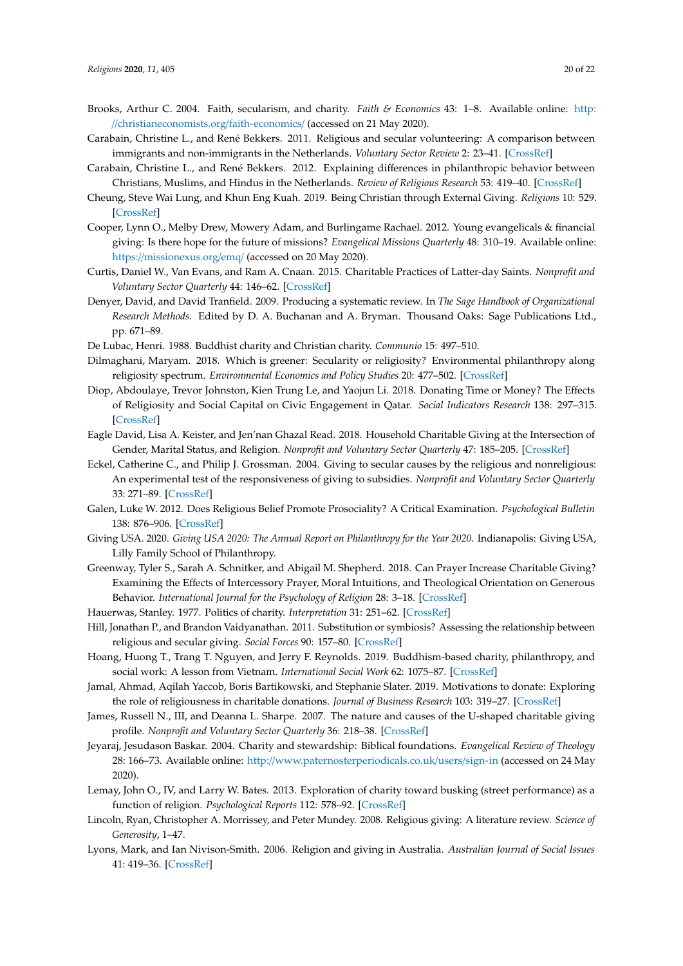- <span id="page-19-37"></span><span id="page-19-34"></span><span id="page-19-32"></span><span id="page-19-27"></span><span id="page-19-26"></span><span id="page-19-24"></span><span id="page-19-23"></span><span id="page-19-22"></span><span id="page-19-13"></span>Brooks, Arthur C. 2004. Faith, secularism, and charity. *Faith & Economics* 43: 1–8. Available online: [http:](http://christianeconomists.org/faith-economics/) //[christianeconomists.org](http://christianeconomists.org/faith-economics/)/faith-economics/ (accessed on 21 May 2020).
- <span id="page-19-28"></span><span id="page-19-18"></span>Carabain, Christine L., and René Bekkers. 2011. Religious and secular volunteering: A comparison between immigrants and non-immigrants in the Netherlands. *Voluntary Sector Review* 2: 23–41. [\[CrossRef\]](http://dx.doi.org/10.1332/204080511X560602)
- <span id="page-19-3"></span>Carabain, Christine L., and René Bekkers. 2012. Explaining differences in philanthropic behavior between Christians, Muslims, and Hindus in the Netherlands. *Review of Religious Research* 53: 419–40. [\[CrossRef\]](http://dx.doi.org/10.1007/s13644-011-0018-1)
- <span id="page-19-2"></span>Cheung, Steve Wai Lung, and Khun Eng Kuah. 2019. Being Christian through External Giving. *Religions* 10: 529. [\[CrossRef\]](http://dx.doi.org/10.3390/rel10090529)
- <span id="page-19-17"></span>Cooper, Lynn O., Melby Drew, Mowery Adam, and Burlingame Rachael. 2012. Young evangelicals & financial giving: Is there hope for the future of missions? *Evangelical Missions Quarterly* 48: 310–19. Available online: https://[missionexus.org](https://missionexus.org/emq/)/emq/ (accessed on 20 May 2020).
- <span id="page-19-25"></span><span id="page-19-12"></span>Curtis, Daniel W., Van Evans, and Ram A. Cnaan. 2015. Charitable Practices of Latter-day Saints. *Nonprofit and Voluntary Sector Quarterly* 44: 146–62. [\[CrossRef\]](http://dx.doi.org/10.1177/0899764013508010)
- <span id="page-19-35"></span><span id="page-19-7"></span>Denyer, David, and David Tranfield. 2009. Producing a systematic review. In *The Sage Handbook of Organizational Research Methods*. Edited by D. A. Buchanan and A. Bryman. Thousand Oaks: Sage Publications Ltd., pp. 671–89.
- <span id="page-19-29"></span><span id="page-19-15"></span>De Lubac, Henri. 1988. Buddhist charity and Christian charity. *Communio* 15: 497–510.
- <span id="page-19-36"></span><span id="page-19-10"></span>Dilmaghani, Maryam. 2018. Which is greener: Secularity or religiosity? Environmental philanthropy along religiosity spectrum. *Environmental Economics and Policy Studies* 20: 477–502. [\[CrossRef\]](http://dx.doi.org/10.1007/s10018-017-0201-x)
- <span id="page-19-33"></span><span id="page-19-4"></span>Diop, Abdoulaye, Trevor Johnston, Kien Trung Le, and Yaojun Li. 2018. Donating Time or Money? The Effects of Religiosity and Social Capital on Civic Engagement in Qatar. *Social Indicators Research* 138: 297–315. [\[CrossRef\]](http://dx.doi.org/10.1007/s11205-017-1646-9)
- <span id="page-19-31"></span><span id="page-19-8"></span>Eagle David, Lisa A. Keister, and Jen'nan Ghazal Read. 2018. Household Charitable Giving at the Intersection of Gender, Marital Status, and Religion. *Nonprofit and Voluntary Sector Quarterly* 47: 185–205. [\[CrossRef\]](http://dx.doi.org/10.1177/0899764017734650)
- <span id="page-19-5"></span>Eckel, Catherine C., and Philip J. Grossman. 2004. Giving to secular causes by the religious and nonreligious: An experimental test of the responsiveness of giving to subsidies. *Nonprofit and Voluntary Sector Quarterly* 33: 271–89. [\[CrossRef\]](http://dx.doi.org/10.1177/0899764004263423)
- <span id="page-19-30"></span><span id="page-19-21"></span>Galen, Luke W. 2012. Does Religious Belief Promote Prosociality? A Critical Examination. *Psychological Bulletin* 138: 876–906. [\[CrossRef\]](http://dx.doi.org/10.1037/a0028251)
- <span id="page-19-1"></span>Giving USA. 2020. *Giving USA 2020: The Annual Report on Philanthropy for the Year 2020*. Indianapolis: Giving USA, Lilly Family School of Philanthropy.
- <span id="page-19-11"></span>Greenway, Tyler S., Sarah A. Schnitker, and Abigail M. Shepherd. 2018. Can Prayer Increase Charitable Giving? Examining the Effects of Intercessory Prayer, Moral Intuitions, and Theological Orientation on Generous Behavior. *International Journal for the Psychology of Religion* 28: 3–18. [\[CrossRef\]](http://dx.doi.org/10.1080/10508619.2017.1406790)
- Hauerwas, Stanley. 1977. Politics of charity. *Interpretation* 31: 251–62. [\[CrossRef\]](http://dx.doi.org/10.1177/002096437703100303)

<span id="page-19-6"></span>Hill, Jonathan P., and Brandon Vaidyanathan. 2011. Substitution or symbiosis? Assessing the relationship between religious and secular giving. *Social Forces* 90: 157–80. [\[CrossRef\]](http://dx.doi.org/10.1093/sf/90.1.157)

- Hoang, Huong T., Trang T. Nguyen, and Jerry F. Reynolds. 2019. Buddhism-based charity, philanthropy, and social work: A lesson from Vietnam. *International Social Work* 62: 1075–87. [\[CrossRef\]](http://dx.doi.org/10.1177/0020872818767257)
- <span id="page-19-14"></span>Jamal, Ahmad, Aqilah Yaccob, Boris Bartikowski, and Stephanie Slater. 2019. Motivations to donate: Exploring the role of religiousness in charitable donations. *Journal of Business Research* 103: 319–27. [\[CrossRef\]](http://dx.doi.org/10.1016/j.jbusres.2019.01.064)
- <span id="page-19-19"></span>James, Russell N., III, and Deanna L. Sharpe. 2007. The nature and causes of the U-shaped charitable giving profile. *Nonprofit and Voluntary Sector Quarterly* 36: 218–38. [\[CrossRef\]](http://dx.doi.org/10.1177/0899764006295993)
- <span id="page-19-16"></span>Jeyaraj, Jesudason Baskar. 2004. Charity and stewardship: Biblical foundations. *Evangelical Review of Theology* 28: 166–73. Available online: http://[www.paternosterperiodicals.co.uk](http://www.paternosterperiodicals.co.uk/users/sign-in)/users/sign-in (accessed on 24 May 2020).
- <span id="page-19-20"></span>Lemay, John O., IV, and Larry W. Bates. 2013. Exploration of charity toward busking (street performance) as a function of religion. *Psychological Reports* 112: 578–92. [\[CrossRef\]](http://dx.doi.org/10.2466/21.PR0.112.2.578-592)
- <span id="page-19-0"></span>Lincoln, Ryan, Christopher A. Morrissey, and Peter Mundey. 2008. Religious giving: A literature review. *Science of Generosity*, 1–47.
- <span id="page-19-9"></span>Lyons, Mark, and Ian Nivison-Smith. 2006. Religion and giving in Australia. *Australian Journal of Social Issues* 41: 419–36. [\[CrossRef\]](http://dx.doi.org/10.1002/j.1839-4655.2006.tb00997.x)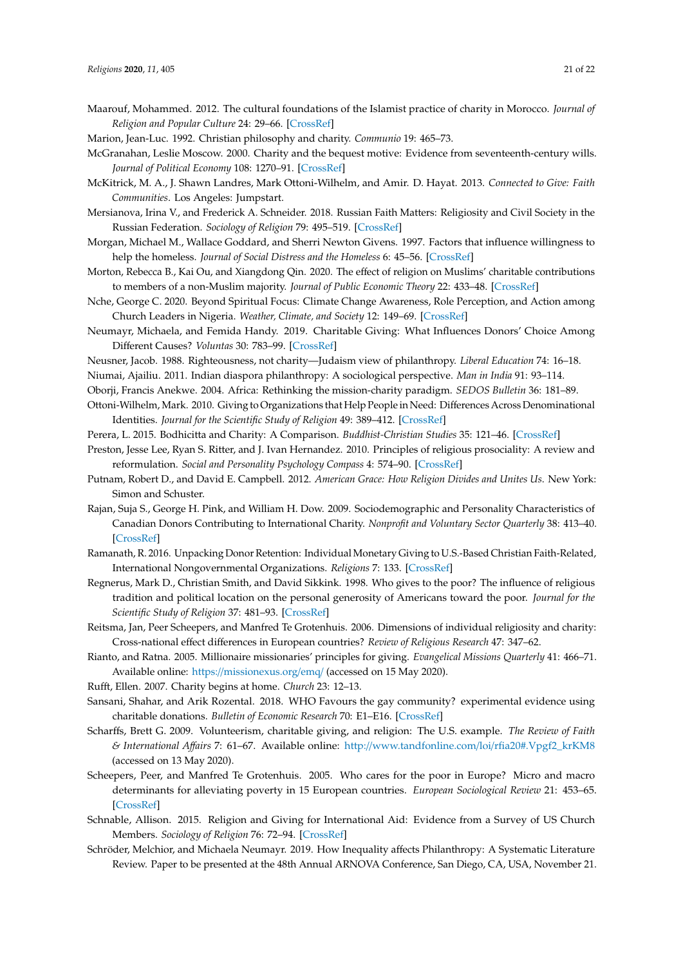- <span id="page-20-33"></span><span id="page-20-29"></span><span id="page-20-28"></span><span id="page-20-27"></span><span id="page-20-26"></span><span id="page-20-22"></span><span id="page-20-21"></span><span id="page-20-17"></span><span id="page-20-16"></span><span id="page-20-15"></span><span id="page-20-9"></span>Maarouf, Mohammed. 2012. The cultural foundations of the Islamist practice of charity in Morocco. *Journal of Religion and Popular Culture* 24: 29–66. [\[CrossRef\]](http://dx.doi.org/10.1353/rpc.2012.0008)
- <span id="page-20-11"></span>Marion, Jean-Luc. 1992. Christian philosophy and charity. *Communio* 19: 465–73.
- McGranahan, Leslie Moscow. 2000. Charity and the bequest motive: Evidence from seventeenth-century wills. *Journal of Political Economy* 108: 1270–91. [\[CrossRef\]](http://dx.doi.org/10.1086/317685)
- <span id="page-20-30"></span><span id="page-20-0"></span>McKitrick, M. A., J. Shawn Landres, Mark Ottoni-Wilhelm, and Amir. D. Hayat. 2013. *Connected to Give: Faith Communities*. Los Angeles: Jumpstart.
- <span id="page-20-23"></span><span id="page-20-13"></span>Mersianova, Irina V., and Frederick A. Schneider. 2018. Russian Faith Matters: Religiosity and Civil Society in the Russian Federation. *Sociology of Religion* 79: 495–519. [\[CrossRef\]](http://dx.doi.org/10.1093/socrel/sry014)
- Morgan, Michael M., Wallace Goddard, and Sherri Newton Givens. 1997. Factors that influence willingness to help the homeless. *Journal of Social Distress and the Homeless* 6: 45–56. [\[CrossRef\]](http://dx.doi.org/10.1023/B:JOSD.0000015188.20794.d5)
- <span id="page-20-31"></span><span id="page-20-1"></span>Morton, Rebecca B., Kai Ou, and Xiangdong Qin. 2020. The effect of religion on Muslims' charitable contributions to members of a non-Muslim majority. *Journal of Public Economic Theory* 22: 433–48. [\[CrossRef\]](http://dx.doi.org/10.1111/jpet.12352)
- <span id="page-20-24"></span>Nche, George C. 2020. Beyond Spiritual Focus: Climate Change Awareness, Role Perception, and Action among Church Leaders in Nigeria. *Weather, Climate, and Society* 12: 149–69. [\[CrossRef\]](http://dx.doi.org/10.1175/WCAS-D-19-0001.1)
- <span id="page-20-18"></span><span id="page-20-8"></span>Neumayr, Michaela, and Femida Handy. 2019. Charitable Giving: What Influences Donors' Choice Among Different Causes? *Voluntas* 30: 783–99. [\[CrossRef\]](http://dx.doi.org/10.1007/s11266-017-9843-3)
- Neusner, Jacob. 1988. Righteousness, not charity—Judaism view of philanthropy. *Liberal Education* 74: 16–18.

<span id="page-20-32"></span>Niumai, Ajailiu. 2011. Indian diaspora philanthropy: A sociological perspective. *Man in India* 91: 93–114.

- <span id="page-20-2"></span>Oborji, Francis Anekwe. 2004. Africa: Rethinking the mission-charity paradigm. *SEDOS Bulletin* 36: 181–89.
- <span id="page-20-19"></span>Ottoni-Wilhelm, Mark. 2010. Giving to Organizations that Help People in Need: Differences Across Denominational Identities. *Journal for the Scientific Study of Religion* 49: 389–412. [\[CrossRef\]](http://dx.doi.org/10.1111/j.1468-5906.2010.01518.x)

<span id="page-20-34"></span><span id="page-20-10"></span>Perera, L. 2015. Bodhicitta and Charity: A Comparison. *Buddhist-Christian Studies* 35: 121–46. [\[CrossRef\]](http://dx.doi.org/10.1353/bcs.2015.0026)

- <span id="page-20-3"></span>Preston, Jesse Lee, Ryan S. Ritter, and J. Ivan Hernandez. 2010. Principles of religious prosociality: A review and reformulation. *Social and Personality Psychology Compass* 4: 574–90. [\[CrossRef\]](http://dx.doi.org/10.1111/j.1751-9004.2010.00286.x)
- <span id="page-20-25"></span>Putnam, Robert D., and David E. Campbell. 2012. *American Grace: How Religion Divides and Unites Us*. New York: Simon and Schuster.
- <span id="page-20-20"></span>Rajan, Suja S., George H. Pink, and William H. Dow. 2009. Sociodemographic and Personality Characteristics of Canadian Donors Contributing to International Charity. *Nonprofit and Voluntary Sector Quarterly* 38: 413–40. [\[CrossRef\]](http://dx.doi.org/10.1177/0899764008316056)
- Ramanath, R. 2016. Unpacking Donor Retention: Individual Monetary Giving to U.S.-Based Christian Faith-Related, International Nongovernmental Organizations. *Religions* 7: 133. [\[CrossRef\]](http://dx.doi.org/10.3390/rel7110133)
- <span id="page-20-6"></span>Regnerus, Mark D., Christian Smith, and David Sikkink. 1998. Who gives to the poor? The influence of religious tradition and political location on the personal generosity of Americans toward the poor. *Journal for the Scientific Study of Religion* 37: 481–93. [\[CrossRef\]](http://dx.doi.org/10.2307/1388055)
- <span id="page-20-7"></span>Reitsma, Jan, Peer Scheepers, and Manfred Te Grotenhuis. 2006. Dimensions of individual religiosity and charity: Cross-national effect differences in European countries? *Review of Religious Research* 47: 347–62.
- Rianto, and Ratna. 2005. Millionaire missionaries' principles for giving. *Evangelical Missions Quarterly* 41: 466–71. Available online: https://[missionexus.org](https://missionexus.org/emq/)/emq/ (accessed on 15 May 2020).
- <span id="page-20-12"></span>Rufft, Ellen. 2007. Charity begins at home. *Church* 23: 12–13.
- <span id="page-20-5"></span>Sansani, Shahar, and Arik Rozental. 2018. WHO Favours the gay community? experimental evidence using charitable donations. *Bulletin of Economic Research* 70: E1–E16. [\[CrossRef\]](http://dx.doi.org/10.1111/boer.12136)
- Scharffs, Brett G. 2009. Volunteerism, charitable giving, and religion: The U.S. example. *The Review of Faith & International A*ff*airs* 7: 61–67. Available online: http://[www.tandfonline.com](http://www.tandfonline.com/loi/rfia20#.Vpgf2_krKM8)/loi/rfia20#.Vpgf2\_krKM8 (accessed on 13 May 2020).
- Scheepers, Peer, and Manfred Te Grotenhuis. 2005. Who cares for the poor in Europe? Micro and macro determinants for alleviating poverty in 15 European countries. *European Sociological Review* 21: 453–65. [\[CrossRef\]](http://dx.doi.org/10.1093/esr/jci032)
- <span id="page-20-14"></span>Schnable, Allison. 2015. Religion and Giving for International Aid: Evidence from a Survey of US Church Members. *Sociology of Religion* 76: 72–94. [\[CrossRef\]](http://dx.doi.org/10.1093/socrel/sru037)
- <span id="page-20-4"></span>Schröder, Melchior, and Michaela Neumayr. 2019. How Inequality affects Philanthropy: A Systematic Literature Review. Paper to be presented at the 48th Annual ARNOVA Conference, San Diego, CA, USA, November 21.